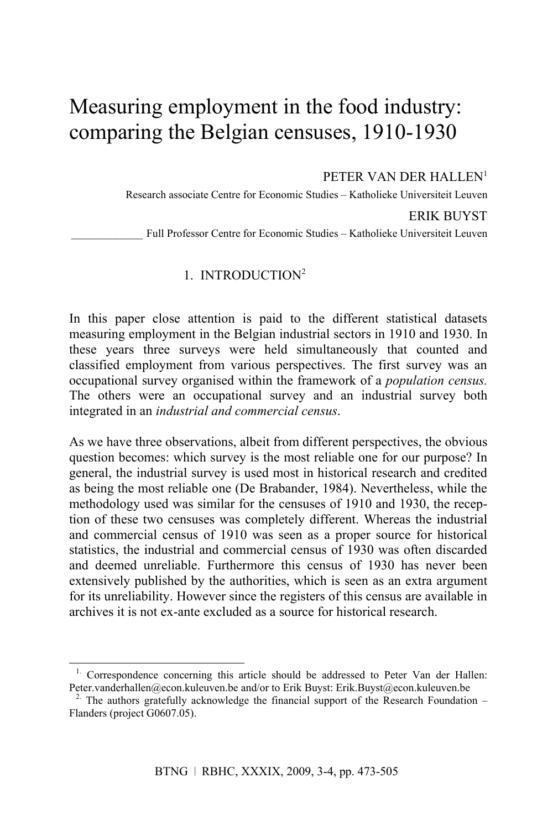# Measuring employment in the food industry: comparing the Belgian censuses, 1910-1930

PETER VAN DER HALLEN<sup>1</sup>

Research associate Centre for Economic Studies – Katholieke Universiteit Leuven

ERIK BUYST

Full Professor Centre for Economic Studies – Katholieke Universiteit Leuven

# 1. INTRODUCTION<sup>2</sup>

In this paper close attention is paid to the different statistical datasets measuring employment in the Belgian industrial sectors in 1910 and 1930. In these years three surveys were held simultaneously that counted and classified employment from various perspectives. The first survey was an occupational survey organised within the framework of a *population census.* The others were an occupational survey and an industrial survey both integrated in an *industrial and commercial census*.

As we have three observations, albeit from different perspectives, the obvious question becomes: which survey is the most reliable one for our purpose? In general, the industrial survey is used most in historical research and credited as being the most reliable one (De Brabander, 1984). Nevertheless, while the methodology used was similar for the censuses of 1910 and 1930, the reception of these two censuses was completely different. Whereas the industrial and commercial census of 1910 was seen as a proper source for historical statistics, the industrial and commercial census of 1930 was often discarded and deemed unreliable. Furthermore this census of 1930 has never been extensively published by the authorities, which is seen as an extra argument for its unreliability. However since the registers of this census are available in archives it is not ex-ante excluded as a source for historical research.

<sup>&</sup>lt;sup>1.</sup> Correspondence concerning this article should be addressed to Peter Van der Hallen: Peter.vanderhallen@econ.kuleuven.be and/or to Erik Buyst: Erik.Buyst@econ.kuleuven.be

<sup>&</sup>lt;sup>2</sup>. The authors gratefully acknowledge the financial support of the Research Foundation  $-$ Flanders (project G0607.05).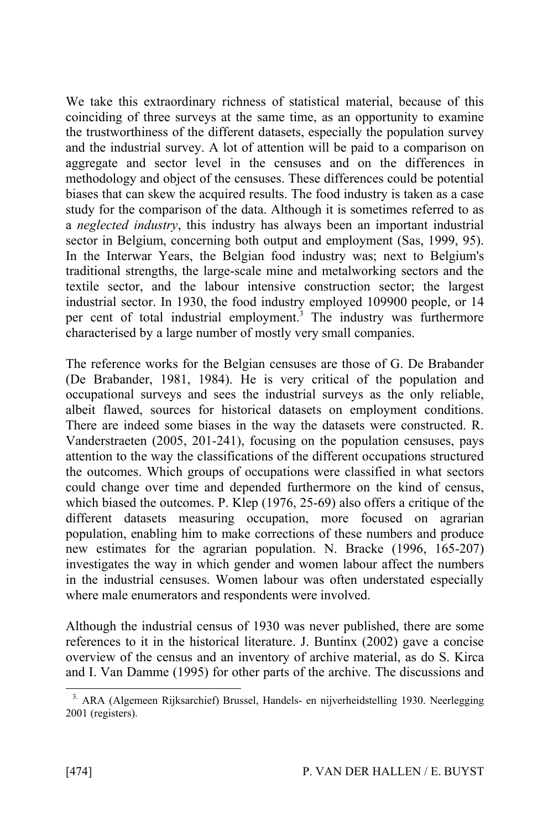We take this extraordinary richness of statistical material, because of this coinciding of three surveys at the same time, as an opportunity to examine the trustworthiness of the different datasets, especially the population survey and the industrial survey. A lot of attention will be paid to a comparison on aggregate and sector level in the censuses and on the differences in methodology and object of the censuses. These differences could be potential biases that can skew the acquired results. The food industry is taken as a case study for the comparison of the data. Although it is sometimes referred to as a *neglected industry*, this industry has always been an important industrial sector in Belgium, concerning both output and employment (Sas, 1999, 95). In the Interwar Years, the Belgian food industry was; next to Belgium's traditional strengths, the large-scale mine and metalworking sectors and the textile sector, and the labour intensive construction sector; the largest industrial sector. In 1930, the food industry employed 109900 people, or 14 per cent of total industrial employment.<sup>3</sup> The industry was furthermore characterised by a large number of mostly very small companies.

The reference works for the Belgian censuses are those of G. De Brabander (De Brabander, 1981, 1984). He is very critical of the population and occupational surveys and sees the industrial surveys as the only reliable, albeit flawed, sources for historical datasets on employment conditions. There are indeed some biases in the way the datasets were constructed. R. Vanderstraeten (2005, 201-241), focusing on the population censuses, pays attention to the way the classifications of the different occupations structured the outcomes. Which groups of occupations were classified in what sectors could change over time and depended furthermore on the kind of census, which biased the outcomes. P. Klep (1976, 25-69) also offers a critique of the different datasets measuring occupation, more focused on agrarian population, enabling him to make corrections of these numbers and produce new estimates for the agrarian population. N. Bracke (1996, 165-207) investigates the way in which gender and women labour affect the numbers in the industrial censuses. Women labour was often understated especially where male enumerators and respondents were involved.

Although the industrial census of 1930 was never published, there are some references to it in the historical literature. J. Buntinx (2002) gave a concise overview of the census and an inventory of archive material, as do S. Kirca and I. Van Damme (1995) for other parts of the archive. The discussions and

<sup>&</sup>lt;sup>3.</sup> ARA (Algemeen Rijksarchief) Brussel, Handels- en nijverheidstelling 1930. Neerlegging 2001 (registers).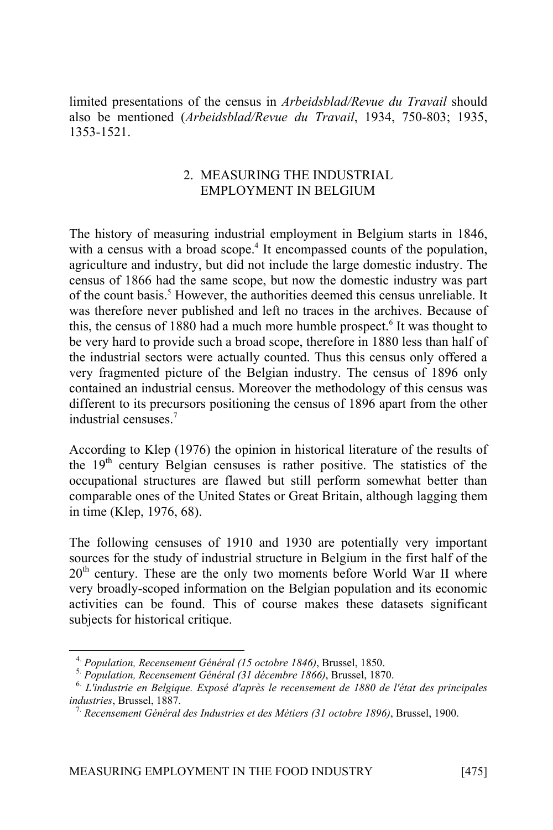limited presentations of the census in *Arbeidsblad/Revue du Travail* should also be mentioned (*Arbeidsblad/Revue du Travail*, 1934, 750-803; 1935, 1353-1521.

### 2. MEASURING THE INDUSTRIAL EMPLOYMENT IN BELGIUM

The history of measuring industrial employment in Belgium starts in 1846, with a census with a broad scope.<sup>4</sup> It encompassed counts of the population, agriculture and industry, but did not include the large domestic industry. The census of 1866 had the same scope, but now the domestic industry was part of the count basis.<sup>5</sup> However, the authorities deemed this census unreliable. It was therefore never published and left no traces in the archives. Because of this, the census of 1880 had a much more humble prospect.<sup>6</sup> It was thought to be very hard to provide such a broad scope, therefore in 1880 less than half of the industrial sectors were actually counted. Thus this census only offered a very fragmented picture of the Belgian industry. The census of 1896 only contained an industrial census. Moreover the methodology of this census was different to its precursors positioning the census of 1896 apart from the other industrial censuses<sup>7</sup>

According to Klep (1976) the opinion in historical literature of the results of the 19<sup>th</sup> century Belgian censuses is rather positive. The statistics of the occupational structures are flawed but still perform somewhat better than comparable ones of the United States or Great Britain, although lagging them in time (Klep, 1976, 68).

The following censuses of 1910 and 1930 are potentially very important sources for the study of industrial structure in Belgium in the first half of the  $20<sup>th</sup>$  century. These are the only two moments before World War II where very broadly-scoped information on the Belgian population and its economic activities can be found. This of course makes these datasets significant subjects for historical critique.

<sup>4.</sup> *Population, Recensement Général (15 octobre 1846)*, Brussel, 1850.

<sup>5.</sup> *Population, Recensement Général (31 décembre 1866)*, Brussel, 1870.

<sup>6.</sup> *L'industrie en Belgique. Exposé d'après le recensement de 1880 de l'état des principales industries*, Brussel, 1887.

<sup>7.</sup> *Recensement Général des Industries et des Métiers (31 octobre 1896)*, Brussel, 1900.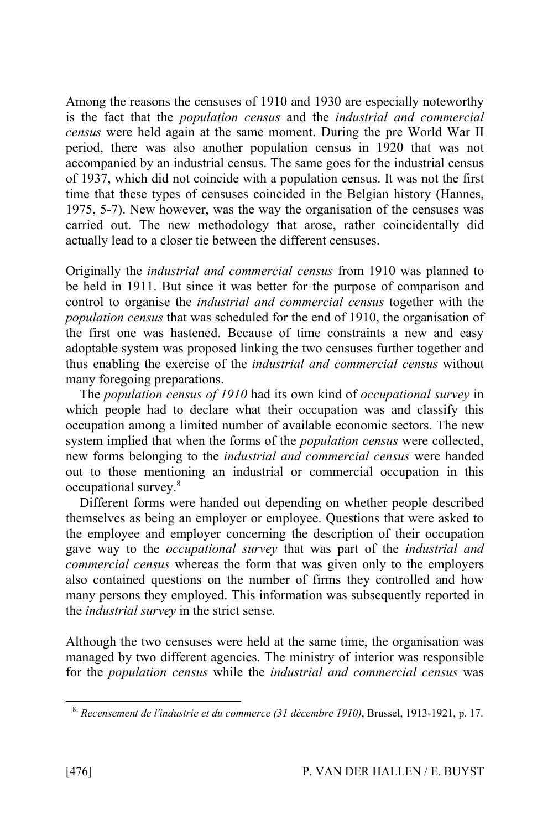Among the reasons the censuses of 1910 and 1930 are especially noteworthy is the fact that the *population census* and the *industrial and commercial census* were held again at the same moment. During the pre World War II period, there was also another population census in 1920 that was not accompanied by an industrial census. The same goes for the industrial census of 1937, which did not coincide with a population census. It was not the first time that these types of censuses coincided in the Belgian history (Hannes, 1975, 5-7). New however, was the way the organisation of the censuses was carried out. The new methodology that arose, rather coincidentally did actually lead to a closer tie between the different censuses.

Originally the *industrial and commercial census* from 1910 was planned to be held in 1911. But since it was better for the purpose of comparison and control to organise the *industrial and commercial census* together with the *population census* that was scheduled for the end of 1910, the organisation of the first one was hastened. Because of time constraints a new and easy adoptable system was proposed linking the two censuses further together and thus enabling the exercise of the *industrial and commercial census* without many foregoing preparations.

The *population census of 1910* had its own kind of *occupational survey* in which people had to declare what their occupation was and classify this occupation among a limited number of available economic sectors. The new system implied that when the forms of the *population census* were collected, new forms belonging to the *industrial and commercial census* were handed out to those mentioning an industrial or commercial occupation in this occupational survey.<sup>8</sup>

Different forms were handed out depending on whether people described themselves as being an employer or employee. Questions that were asked to the employee and employer concerning the description of their occupation gave way to the *occupational survey* that was part of the *industrial and commercial census* whereas the form that was given only to the employers also contained questions on the number of firms they controlled and how many persons they employed. This information was subsequently reported in the *industrial survey* in the strict sense.

Although the two censuses were held at the same time, the organisation was managed by two different agencies. The ministry of interior was responsible for the *population census* while the *industrial and commercial census* was

<sup>8.</sup> *Recensement de l'industrie et du commerce (31 décembre 1910)*, Brussel, 1913-1921, p. 17.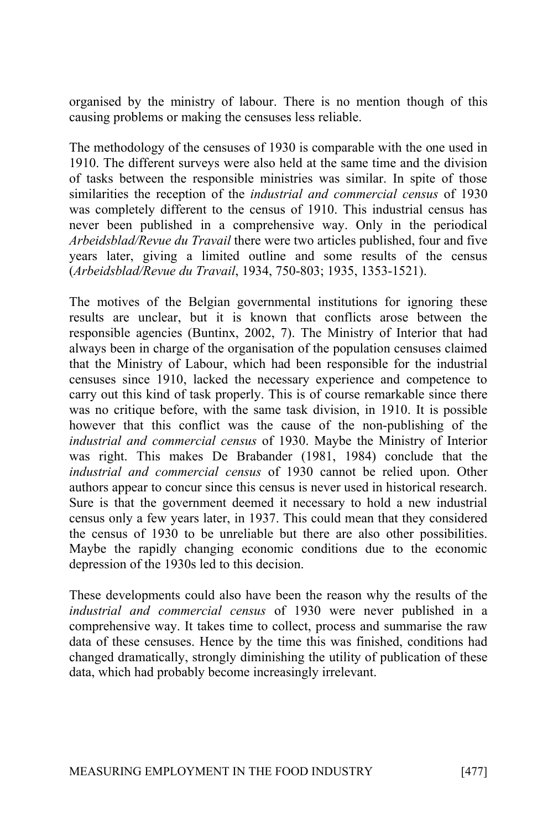organised by the ministry of labour. There is no mention though of this causing problems or making the censuses less reliable.

The methodology of the censuses of 1930 is comparable with the one used in 1910. The different surveys were also held at the same time and the division of tasks between the responsible ministries was similar. In spite of those similarities the reception of the *industrial and commercial census* of 1930 was completely different to the census of 1910. This industrial census has never been published in a comprehensive way. Only in the periodical *Arbeidsblad/Revue du Travail* there were two articles published, four and five years later, giving a limited outline and some results of the census (*Arbeidsblad/Revue du Travail*, 1934, 750-803; 1935, 1353-1521).

The motives of the Belgian governmental institutions for ignoring these results are unclear, but it is known that conflicts arose between the responsible agencies (Buntinx, 2002, 7). The Ministry of Interior that had always been in charge of the organisation of the population censuses claimed that the Ministry of Labour, which had been responsible for the industrial censuses since 1910, lacked the necessary experience and competence to carry out this kind of task properly. This is of course remarkable since there was no critique before, with the same task division, in 1910. It is possible however that this conflict was the cause of the non-publishing of the *industrial and commercial census* of 1930. Maybe the Ministry of Interior was right. This makes De Brabander (1981, 1984) conclude that the *industrial and commercial census* of 1930 cannot be relied upon. Other authors appear to concur since this census is never used in historical research. Sure is that the government deemed it necessary to hold a new industrial census only a few years later, in 1937. This could mean that they considered the census of 1930 to be unreliable but there are also other possibilities. Maybe the rapidly changing economic conditions due to the economic depression of the 1930s led to this decision.

These developments could also have been the reason why the results of the *industrial and commercial census* of 1930 were never published in a comprehensive way. It takes time to collect, process and summarise the raw data of these censuses. Hence by the time this was finished, conditions had changed dramatically, strongly diminishing the utility of publication of these data, which had probably become increasingly irrelevant.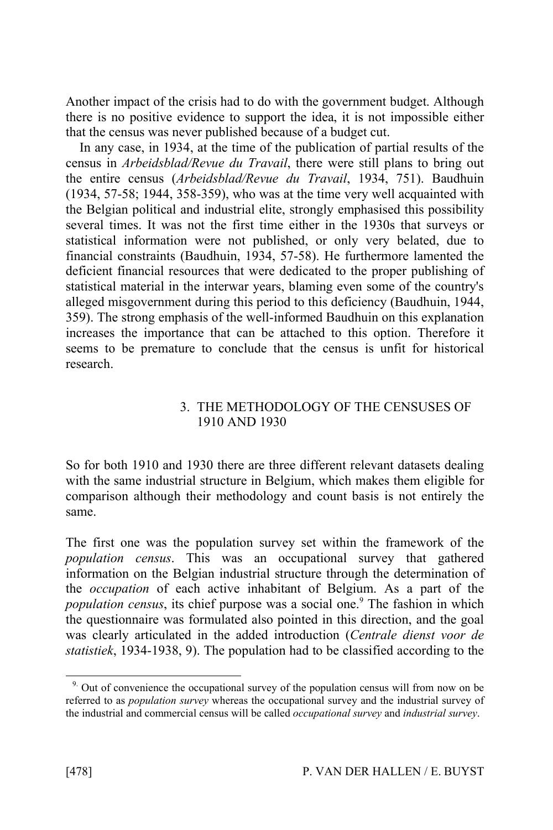Another impact of the crisis had to do with the government budget. Although there is no positive evidence to support the idea, it is not impossible either that the census was never published because of a budget cut.

In any case, in 1934, at the time of the publication of partial results of the census in *Arbeidsblad/Revue du Travail*, there were still plans to bring out the entire census (*Arbeidsblad/Revue du Travail*, 1934, 751). Baudhuin (1934, 57-58; 1944, 358-359), who was at the time very well acquainted with the Belgian political and industrial elite, strongly emphasised this possibility several times. It was not the first time either in the 1930s that surveys or statistical information were not published, or only very belated, due to financial constraints (Baudhuin, 1934, 57-58). He furthermore lamented the deficient financial resources that were dedicated to the proper publishing of statistical material in the interwar years, blaming even some of the country's alleged misgovernment during this period to this deficiency (Baudhuin, 1944, 359). The strong emphasis of the well-informed Baudhuin on this explanation increases the importance that can be attached to this option. Therefore it seems to be premature to conclude that the census is unfit for historical research.

### 3. THE METHODOLOGY OF THE CENSUSES OF 1910 AND 1930

So for both 1910 and 1930 there are three different relevant datasets dealing with the same industrial structure in Belgium, which makes them eligible for comparison although their methodology and count basis is not entirely the same.

The first one was the population survey set within the framework of the *population census*. This was an occupational survey that gathered information on the Belgian industrial structure through the determination of the *occupation* of each active inhabitant of Belgium. As a part of the *population census*, its chief purpose was a social one.<sup>9</sup> The fashion in which the questionnaire was formulated also pointed in this direction, and the goal was clearly articulated in the added introduction (*Centrale dienst voor de statistiek*, 1934-1938, 9). The population had to be classified according to the

<sup>&</sup>lt;sup>9.</sup> Out of convenience the occupational survey of the population census will from now on be referred to as *population survey* whereas the occupational survey and the industrial survey of the industrial and commercial census will be called *occupational survey* and *industrial survey*.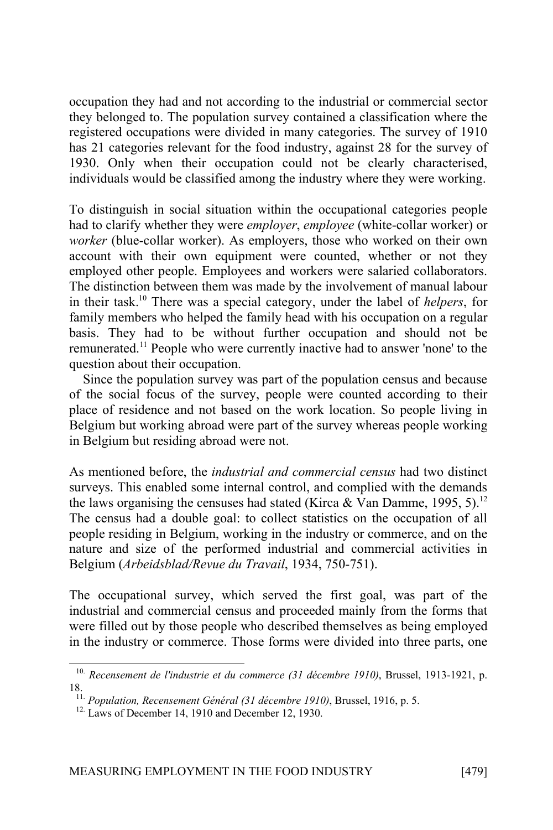occupation they had and not according to the industrial or commercial sector they belonged to. The population survey contained a classification where the registered occupations were divided in many categories. The survey of 1910 has 21 categories relevant for the food industry, against 28 for the survey of 1930. Only when their occupation could not be clearly characterised, individuals would be classified among the industry where they were working.

To distinguish in social situation within the occupational categories people had to clarify whether they were *employer*, *employee* (white-collar worker) or *worker* (blue-collar worker). As employers, those who worked on their own account with their own equipment were counted, whether or not they employed other people. Employees and workers were salaried collaborators. The distinction between them was made by the involvement of manual labour in their task.<sup>10</sup> There was a special category, under the label of *helpers*, for family members who helped the family head with his occupation on a regular basis. They had to be without further occupation and should not be remunerated.<sup>11</sup> People who were currently inactive had to answer 'none' to the question about their occupation.

Since the population survey was part of the population census and because of the social focus of the survey, people were counted according to their place of residence and not based on the work location. So people living in Belgium but working abroad were part of the survey whereas people working in Belgium but residing abroad were not.

As mentioned before, the *industrial and commercial census* had two distinct surveys. This enabled some internal control, and complied with the demands the laws organising the censuses had stated (Kirca & Van Damme, 1995, 5).<sup>12</sup> The census had a double goal: to collect statistics on the occupation of all people residing in Belgium, working in the industry or commerce, and on the nature and size of the performed industrial and commercial activities in Belgium (*Arbeidsblad/Revue du Travail*, 1934, 750-751).

The occupational survey, which served the first goal, was part of the industrial and commercial census and proceeded mainly from the forms that were filled out by those people who described themselves as being employed in the industry or commerce. Those forms were divided into three parts, one

<sup>10.</sup> *Recensement de l'industrie et du commerce (31 décembre 1910)*, Brussel, 1913-1921, p. 18.

<sup>11.</sup> *Population, Recensement Général (31 décembre 1910)*, Brussel, 1916, p. 5.

<sup>&</sup>lt;sup>12.</sup> Laws of December 14, 1910 and December 12, 1930.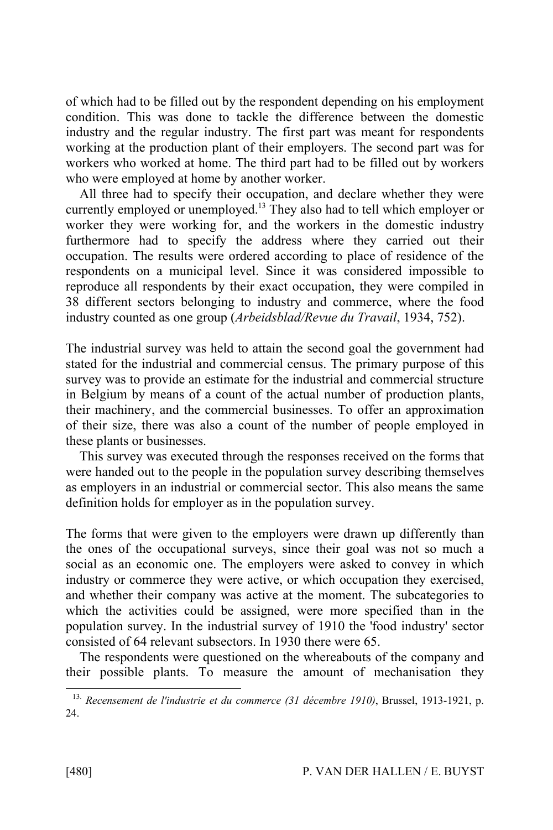of which had to be filled out by the respondent depending on his employment condition. This was done to tackle the difference between the domestic industry and the regular industry. The first part was meant for respondents working at the production plant of their employers. The second part was for workers who worked at home. The third part had to be filled out by workers who were employed at home by another worker.

All three had to specify their occupation, and declare whether they were currently employed or unemployed.<sup>13</sup> They also had to tell which employer or worker they were working for, and the workers in the domestic industry furthermore had to specify the address where they carried out their occupation. The results were ordered according to place of residence of the respondents on a municipal level. Since it was considered impossible to reproduce all respondents by their exact occupation, they were compiled in 38 different sectors belonging to industry and commerce, where the food industry counted as one group (*Arbeidsblad/Revue du Travail*, 1934, 752).

The industrial survey was held to attain the second goal the government had stated for the industrial and commercial census. The primary purpose of this survey was to provide an estimate for the industrial and commercial structure in Belgium by means of a count of the actual number of production plants, their machinery, and the commercial businesses. To offer an approximation of their size, there was also a count of the number of people employed in these plants or businesses.

This survey was executed through the responses received on the forms that were handed out to the people in the population survey describing themselves as employers in an industrial or commercial sector. This also means the same definition holds for employer as in the population survey.

The forms that were given to the employers were drawn up differently than the ones of the occupational surveys, since their goal was not so much a social as an economic one. The employers were asked to convey in which industry or commerce they were active, or which occupation they exercised, and whether their company was active at the moment. The subcategories to which the activities could be assigned, were more specified than in the population survey. In the industrial survey of 1910 the 'food industry' sector consisted of 64 relevant subsectors. In 1930 there were 65.

The respondents were questioned on the whereabouts of the company and their possible plants. To measure the amount of mechanisation they

<sup>13.</sup> *Recensement de l'industrie et du commerce (31 décembre 1910)*, Brussel, 1913-1921, p. 24.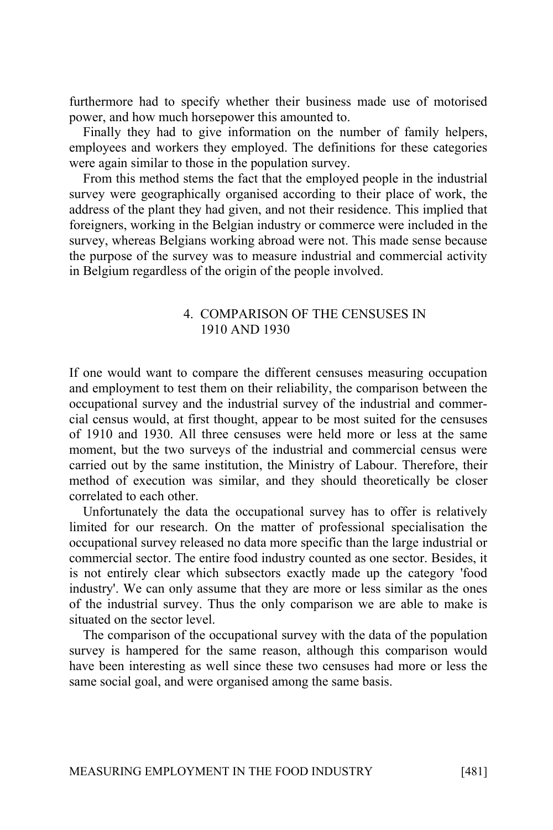furthermore had to specify whether their business made use of motorised power, and how much horsepower this amounted to.

Finally they had to give information on the number of family helpers, employees and workers they employed. The definitions for these categories were again similar to those in the population survey.

From this method stems the fact that the employed people in the industrial survey were geographically organised according to their place of work, the address of the plant they had given, and not their residence. This implied that foreigners, working in the Belgian industry or commerce were included in the survey, whereas Belgians working abroad were not. This made sense because the purpose of the survey was to measure industrial and commercial activity in Belgium regardless of the origin of the people involved.

#### 4. COMPARISON OF THE CENSUSES IN 1910 AND 1930

If one would want to compare the different censuses measuring occupation and employment to test them on their reliability, the comparison between the occupational survey and the industrial survey of the industrial and commercial census would, at first thought, appear to be most suited for the censuses of 1910 and 1930. All three censuses were held more or less at the same moment, but the two surveys of the industrial and commercial census were carried out by the same institution, the Ministry of Labour. Therefore, their method of execution was similar, and they should theoretically be closer correlated to each other.

Unfortunately the data the occupational survey has to offer is relatively limited for our research. On the matter of professional specialisation the occupational survey released no data more specific than the large industrial or commercial sector. The entire food industry counted as one sector. Besides, it is not entirely clear which subsectors exactly made up the category 'food industry'. We can only assume that they are more or less similar as the ones of the industrial survey. Thus the only comparison we are able to make is situated on the sector level.

The comparison of the occupational survey with the data of the population survey is hampered for the same reason, although this comparison would have been interesting as well since these two censuses had more or less the same social goal, and were organised among the same basis.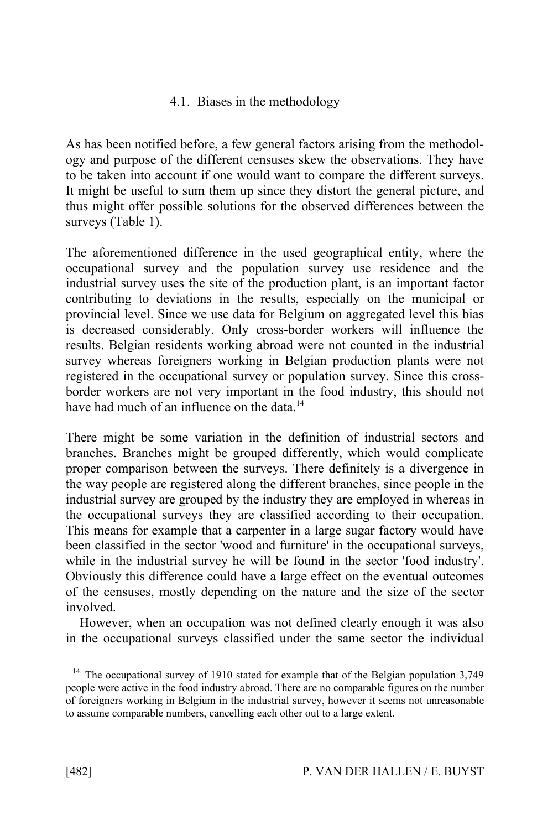# 4.1. Biases in the methodology

As has been notified before, a few general factors arising from the methodology and purpose of the different censuses skew the observations. They have to be taken into account if one would want to compare the different surveys. It might be useful to sum them up since they distort the general picture, and thus might offer possible solutions for the observed differences between the surveys (Table 1).

The aforementioned difference in the used geographical entity, where the occupational survey and the population survey use residence and the industrial survey uses the site of the production plant, is an important factor contributing to deviations in the results, especially on the municipal or provincial level. Since we use data for Belgium on aggregated level this bias is decreased considerably. Only cross-border workers will influence the results. Belgian residents working abroad were not counted in the industrial survey whereas foreigners working in Belgian production plants were not registered in the occupational survey or population survey. Since this crossborder workers are not very important in the food industry, this should not have had much of an influence on the data.<sup>14</sup>

There might be some variation in the definition of industrial sectors and branches. Branches might be grouped differently, which would complicate proper comparison between the surveys. There definitely is a divergence in the way people are registered along the different branches, since people in the industrial survey are grouped by the industry they are employed in whereas in the occupational surveys they are classified according to their occupation. This means for example that a carpenter in a large sugar factory would have been classified in the sector 'wood and furniture' in the occupational surveys, while in the industrial survey he will be found in the sector 'food industry'. Obviously this difference could have a large effect on the eventual outcomes of the censuses, mostly depending on the nature and the size of the sector involved.

However, when an occupation was not defined clearly enough it was also in the occupational surveys classified under the same sector the individual

<sup>&</sup>lt;sup>14.</sup> The occupational survey of 1910 stated for example that of the Belgian population 3,749 people were active in the food industry abroad. There are no comparable figures on the number of foreigners working in Belgium in the industrial survey, however it seems not unreasonable to assume comparable numbers, cancelling each other out to a large extent.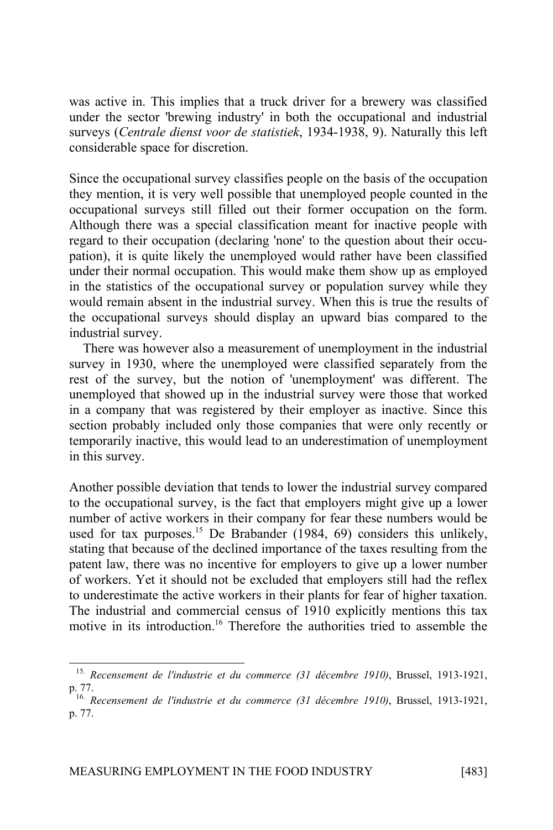was active in. This implies that a truck driver for a brewery was classified under the sector 'brewing industry' in both the occupational and industrial surveys (*Centrale dienst voor de statistiek*, 1934-1938, 9). Naturally this left considerable space for discretion.

Since the occupational survey classifies people on the basis of the occupation they mention, it is very well possible that unemployed people counted in the occupational surveys still filled out their former occupation on the form. Although there was a special classification meant for inactive people with regard to their occupation (declaring 'none' to the question about their occupation), it is quite likely the unemployed would rather have been classified under their normal occupation. This would make them show up as employed in the statistics of the occupational survey or population survey while they would remain absent in the industrial survey. When this is true the results of the occupational surveys should display an upward bias compared to the industrial survey.

There was however also a measurement of unemployment in the industrial survey in 1930, where the unemployed were classified separately from the rest of the survey, but the notion of 'unemployment' was different. The unemployed that showed up in the industrial survey were those that worked in a company that was registered by their employer as inactive. Since this section probably included only those companies that were only recently or temporarily inactive, this would lead to an underestimation of unemployment in this survey.

Another possible deviation that tends to lower the industrial survey compared to the occupational survey, is the fact that employers might give up a lower number of active workers in their company for fear these numbers would be used for tax purposes.<sup>15</sup> De Brabander (1984, 69) considers this unlikely, stating that because of the declined importance of the taxes resulting from the patent law, there was no incentive for employers to give up a lower number of workers. Yet it should not be excluded that employers still had the reflex to underestimate the active workers in their plants for fear of higher taxation. The industrial and commercial census of 1910 explicitly mentions this tax motive in its introduction.<sup>16</sup> Therefore the authorities tried to assemble the

<sup>15.</sup> *Recensement de l'industrie et du commerce (31 décembre 1910)*, Brussel, 1913-1921, p. 77.

<sup>16.</sup> *Recensement de l'industrie et du commerce (31 décembre 1910)*, Brussel, 1913-1921, p. 77.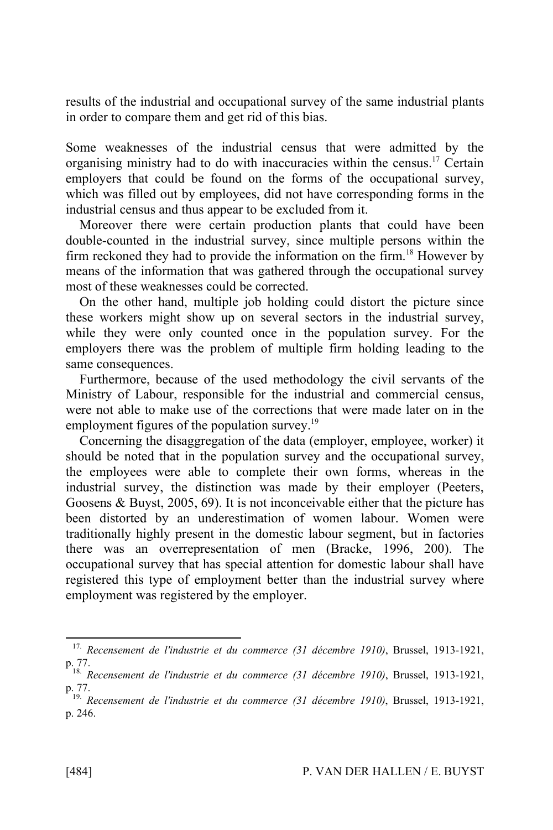results of the industrial and occupational survey of the same industrial plants in order to compare them and get rid of this bias.

Some weaknesses of the industrial census that were admitted by the organising ministry had to do with inaccuracies within the census.<sup>17</sup> Certain employers that could be found on the forms of the occupational survey, which was filled out by employees, did not have corresponding forms in the industrial census and thus appear to be excluded from it.

Moreover there were certain production plants that could have been double-counted in the industrial survey, since multiple persons within the firm reckoned they had to provide the information on the firm.<sup>18</sup> However by means of the information that was gathered through the occupational survey most of these weaknesses could be corrected.

On the other hand, multiple job holding could distort the picture since these workers might show up on several sectors in the industrial survey, while they were only counted once in the population survey. For the employers there was the problem of multiple firm holding leading to the same consequences.

Furthermore, because of the used methodology the civil servants of the Ministry of Labour, responsible for the industrial and commercial census, were not able to make use of the corrections that were made later on in the employment figures of the population survey.<sup>19</sup>

Concerning the disaggregation of the data (employer, employee, worker) it should be noted that in the population survey and the occupational survey, the employees were able to complete their own forms, whereas in the industrial survey, the distinction was made by their employer (Peeters, Goosens & Buyst, 2005, 69). It is not inconceivable either that the picture has been distorted by an underestimation of women labour. Women were traditionally highly present in the domestic labour segment, but in factories there was an overrepresentation of men (Bracke, 1996, 200). The occupational survey that has special attention for domestic labour shall have registered this type of employment better than the industrial survey where employment was registered by the employer.

<sup>17.</sup> *Recensement de l'industrie et du commerce (31 décembre 1910)*, Brussel, 1913-1921, p. 77.

<sup>18.</sup> *Recensement de l'industrie et du commerce (31 décembre 1910)*, Brussel, 1913-1921, p. 77.

<sup>19.</sup> *Recensement de l'industrie et du commerce (31 décembre 1910)*, Brussel, 1913-1921, p. 246.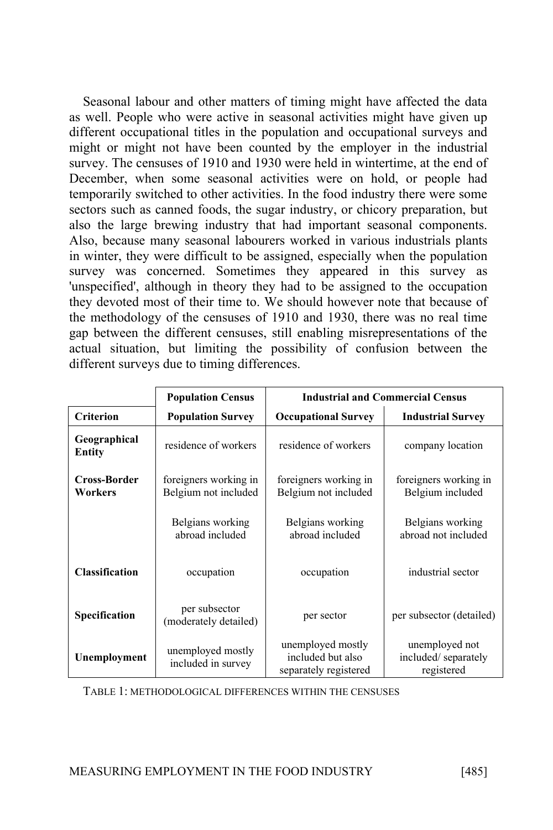Seasonal labour and other matters of timing might have affected the data as well. People who were active in seasonal activities might have given up different occupational titles in the population and occupational surveys and might or might not have been counted by the employer in the industrial survey. The censuses of 1910 and 1930 were held in wintertime, at the end of December, when some seasonal activities were on hold, or people had temporarily switched to other activities. In the food industry there were some sectors such as canned foods, the sugar industry, or chicory preparation, but also the large brewing industry that had important seasonal components. Also, because many seasonal labourers worked in various industrials plants in winter, they were difficult to be assigned, especially when the population survey was concerned. Sometimes they appeared in this survey as 'unspecified', although in theory they had to be assigned to the occupation they devoted most of their time to. We should however note that because of the methodology of the censuses of 1910 and 1930, there was no real time gap between the different censuses, still enabling misrepresentations of the actual situation, but limiting the possibility of confusion between the different surveys due to timing differences.

|                         | <b>Population Census</b>                      | <b>Industrial and Commercial Census</b>                         |                                                     |
|-------------------------|-----------------------------------------------|-----------------------------------------------------------------|-----------------------------------------------------|
| <b>Criterion</b>        | <b>Population Survey</b>                      | <b>Occupational Survey</b>                                      | <b>Industrial Survey</b>                            |
| Geographical<br>Entity  | residence of workers                          | residence of workers                                            | company location                                    |
| Cross-Border<br>Workers | foreigners working in<br>Belgium not included | foreigners working in<br>Belgium not included                   | foreigners working in<br>Belgium included           |
|                         | Belgians working<br>abroad included           | Belgians working<br>abroad included                             | Belgians working<br>abroad not included             |
| <b>Classification</b>   | occupation                                    | occupation                                                      | industrial sector                                   |
| Specification           | per subsector<br>(moderately detailed)        | per sector                                                      | per subsector (detailed)                            |
| Unemployment            | unemployed mostly<br>included in survey       | unemployed mostly<br>included but also<br>separately registered | unemployed not<br>included/separately<br>registered |

TABLE 1: METHODOLOGICAL DIFFERENCES WITHIN THE CENSUSES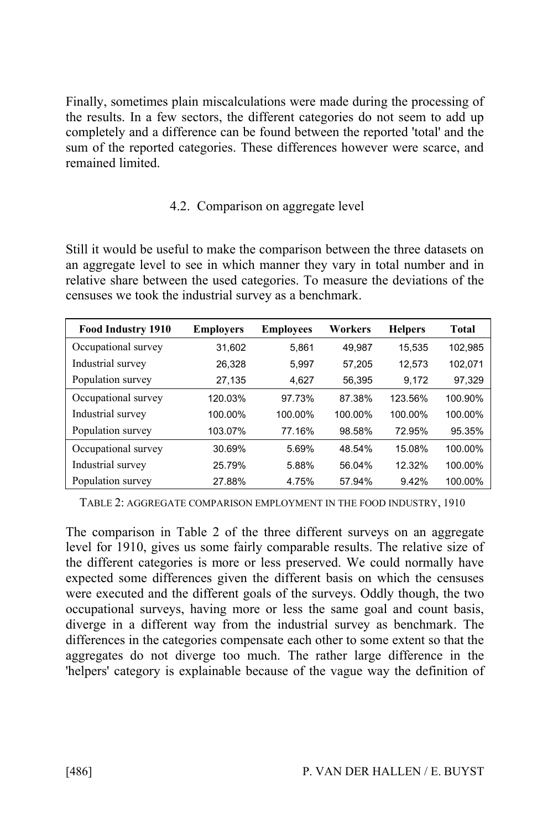Finally, sometimes plain miscalculations were made during the processing of the results. In a few sectors, the different categories do not seem to add up completely and a difference can be found between the reported 'total' and the sum of the reported categories. These differences however were scarce, and remained limited.

# 4.2. Comparison on aggregate level

Still it would be useful to make the comparison between the three datasets on an aggregate level to see in which manner they vary in total number and in relative share between the used categories. To measure the deviations of the censuses we took the industrial survey as a benchmark.

| <b>Food Industry 1910</b> | <b>Employers</b> | <b>Employees</b> | Workers | <b>Helpers</b> | Total   |
|---------------------------|------------------|------------------|---------|----------------|---------|
| Occupational survey       | 31.602           | 5.861            | 49.987  | 15.535         | 102.985 |
| Industrial survey         | 26.328           | 5.997            | 57.205  | 12.573         | 102,071 |
| Population survey         | 27,135           | 4.627            | 56,395  | 9,172          | 97,329  |
| Occupational survey       | 120.03%          | 97.73%           | 87.38%  | 123.56%        | 100.90% |
| Industrial survey         | 100.00%          | 100.00%          | 100.00% | 100.00%        | 100.00% |
| Population survey         | 103.07%          | 77.16%           | 98.58%  | 72.95%         | 95.35%  |
| Occupational survey       | 30.69%           | 5.69%            | 48.54%  | 15.08%         | 100.00% |
| Industrial survey         | 25.79%           | 5.88%            | 56.04%  | 12.32%         | 100.00% |
| Population survey         | 27.88%           | 4.75%            | 57.94%  | 9.42%          | 100.00% |

TABLE 2: AGGREGATE COMPARISON EMPLOYMENT IN THE FOOD INDUSTRY, 1910

The comparison in Table 2 of the three different surveys on an aggregate level for 1910, gives us some fairly comparable results. The relative size of the different categories is more or less preserved. We could normally have expected some differences given the different basis on which the censuses were executed and the different goals of the surveys. Oddly though, the two occupational surveys, having more or less the same goal and count basis, diverge in a different way from the industrial survey as benchmark. The differences in the categories compensate each other to some extent so that the aggregates do not diverge too much. The rather large difference in the 'helpers' category is explainable because of the vague way the definition of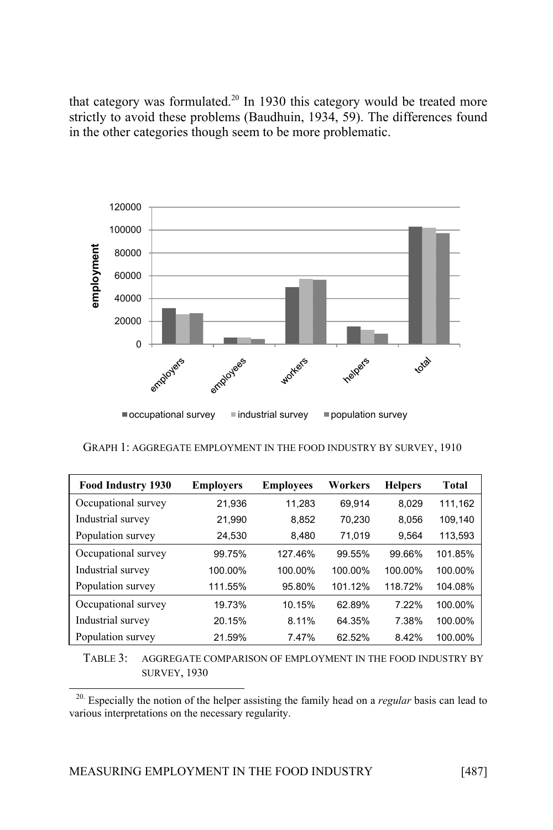that category was formulated.<sup>20</sup> In 1930 this category would be treated more strictly to avoid these problems (Baudhuin, 1934, 59). The differences found in the other categories though seem to be more problematic.



GRAPH 1: AGGREGATE EMPLOYMENT IN THE FOOD INDUSTRY BY SURVEY, 1910

| Food Industry 1930  | <b>Employers</b> | <b>Employees</b> | Workers | <b>Helpers</b> | Total   |
|---------------------|------------------|------------------|---------|----------------|---------|
| Occupational survey | 21,936           | 11.283           | 69.914  | 8.029          | 111,162 |
| Industrial survey   | 21,990           | 8.852            | 70.230  | 8,056          | 109,140 |
| Population survey   | 24,530           | 8,480            | 71.019  | 9,564          | 113,593 |
| Occupational survey | 99.75%           | 127.46%          | 99.55%  | 99.66%         | 101.85% |
| Industrial survey   | 100.00%          | 100.00%          | 100.00% | 100.00%        | 100.00% |
| Population survey   | 111.55%          | 95.80%           | 101.12% | 118.72%        | 104.08% |
| Occupational survey | 19.73%           | 10.15%           | 62.89%  | 7.22%          | 100.00% |
| Industrial survey   | 20.15%           | 8.11%            | 64.35%  | 7.38%          | 100.00% |
| Population survey   | 21.59%           | 7.47%            | 62.52%  | 8.42%          | 100.00% |

TABLE 3: AGGREGATE COMPARISON OF EMPLOYMENT IN THE FOOD INDUSTRY BY SURVEY, 1930

<sup>20.</sup> Especially the notion of the helper assisting the family head on a *regular* basis can lead to various interpretations on the necessary regularity.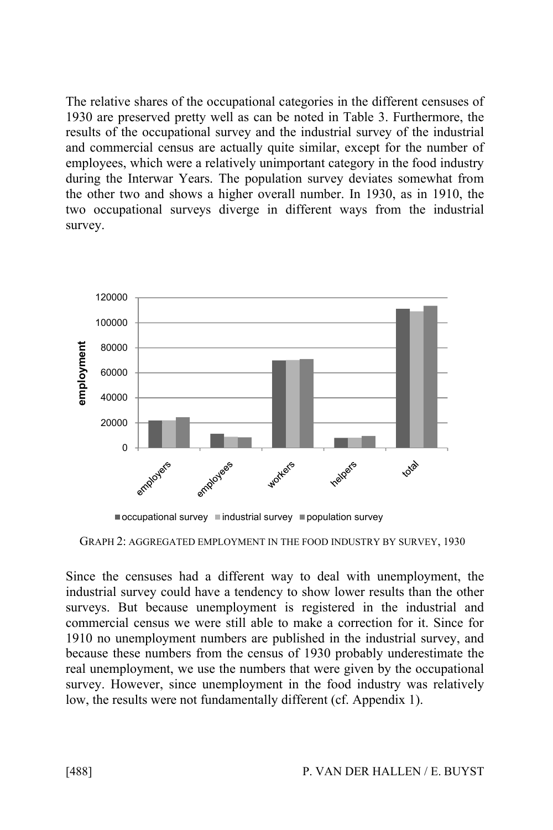The relative shares of the occupational categories in the different censuses of 1930 are preserved pretty well as can be noted in Table 3. Furthermore, the results of the occupational survey and the industrial survey of the industrial and commercial census are actually quite similar, except for the number of employees, which were a relatively unimportant category in the food industry during the Interwar Years. The population survey deviates somewhat from the other two and shows a higher overall number. In 1930, as in 1910, the two occupational surveys diverge in different ways from the industrial survey.





GRAPH 2: AGGREGATED EMPLOYMENT IN THE FOOD INDUSTRY BY SURVEY, 1930

Since the censuses had a different way to deal with unemployment, the industrial survey could have a tendency to show lower results than the other surveys. But because unemployment is registered in the industrial and commercial census we were still able to make a correction for it. Since for 1910 no unemployment numbers are published in the industrial survey, and because these numbers from the census of 1930 probably underestimate the real unemployment, we use the numbers that were given by the occupational survey. However, since unemployment in the food industry was relatively low, the results were not fundamentally different (cf. Appendix 1).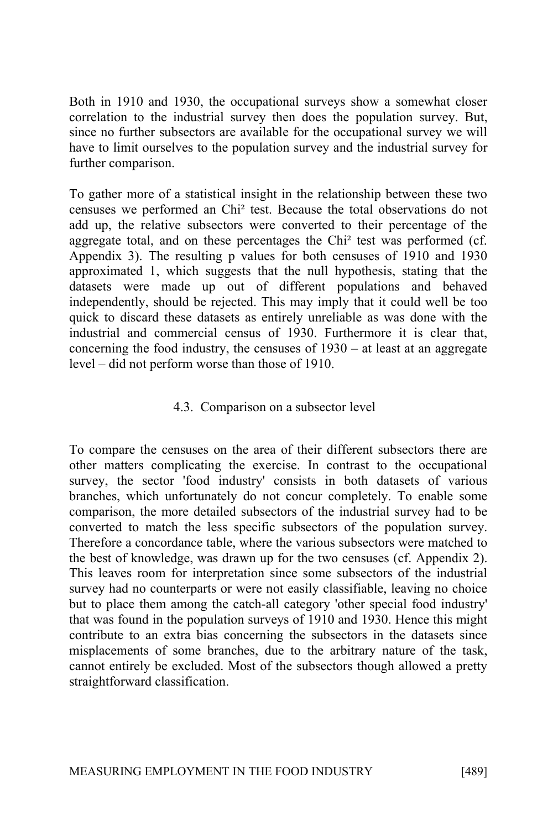Both in 1910 and 1930, the occupational surveys show a somewhat closer correlation to the industrial survey then does the population survey. But, since no further subsectors are available for the occupational survey we will have to limit ourselves to the population survey and the industrial survey for further comparison.

To gather more of a statistical insight in the relationship between these two censuses we performed an Chi² test. Because the total observations do not add up, the relative subsectors were converted to their percentage of the aggregate total, and on these percentages the Chi² test was performed (cf. Appendix 3). The resulting p values for both censuses of 1910 and 1930 approximated 1, which suggests that the null hypothesis, stating that the datasets were made up out of different populations and behaved independently, should be rejected. This may imply that it could well be too quick to discard these datasets as entirely unreliable as was done with the industrial and commercial census of 1930. Furthermore it is clear that, concerning the food industry, the censuses of 1930 – at least at an aggregate level – did not perform worse than those of 1910.

### 4.3. Comparison on a subsector level

To compare the censuses on the area of their different subsectors there are other matters complicating the exercise. In contrast to the occupational survey, the sector 'food industry' consists in both datasets of various branches, which unfortunately do not concur completely. To enable some comparison, the more detailed subsectors of the industrial survey had to be converted to match the less specific subsectors of the population survey. Therefore a concordance table, where the various subsectors were matched to the best of knowledge, was drawn up for the two censuses (cf. Appendix 2). This leaves room for interpretation since some subsectors of the industrial survey had no counterparts or were not easily classifiable, leaving no choice but to place them among the catch-all category 'other special food industry' that was found in the population surveys of 1910 and 1930. Hence this might contribute to an extra bias concerning the subsectors in the datasets since misplacements of some branches, due to the arbitrary nature of the task, cannot entirely be excluded. Most of the subsectors though allowed a pretty straightforward classification.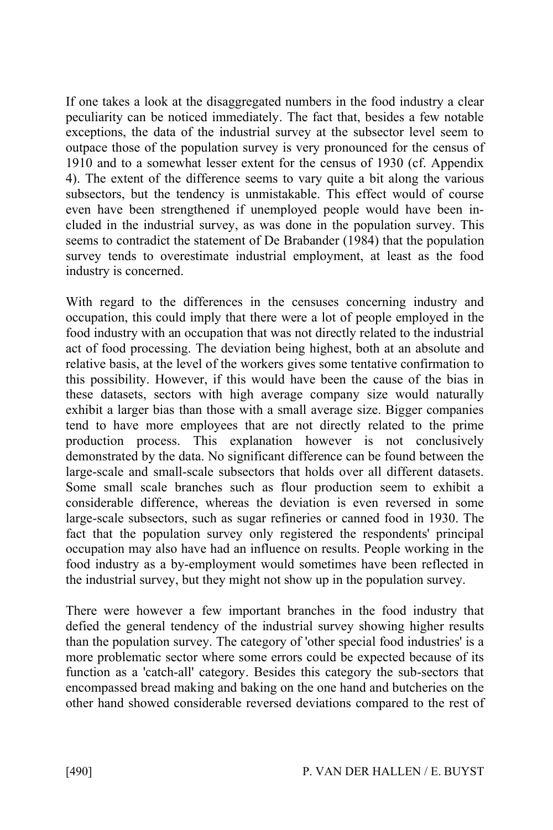If one takes a look at the disaggregated numbers in the food industry a clear peculiarity can be noticed immediately. The fact that, besides a few notable exceptions, the data of the industrial survey at the subsector level seem to outpace those of the population survey is very pronounced for the census of 1910 and to a somewhat lesser extent for the census of 1930 (cf. Appendix 4). The extent of the difference seems to vary quite a bit along the various subsectors, but the tendency is unmistakable. This effect would of course even have been strengthened if unemployed people would have been included in the industrial survey, as was done in the population survey. This seems to contradict the statement of De Brabander (1984) that the population survey tends to overestimate industrial employment, at least as the food industry is concerned.

With regard to the differences in the censuses concerning industry and occupation, this could imply that there were a lot of people employed in the food industry with an occupation that was not directly related to the industrial act of food processing. The deviation being highest, both at an absolute and relative basis, at the level of the workers gives some tentative confirmation to this possibility. However, if this would have been the cause of the bias in these datasets, sectors with high average company size would naturally exhibit a larger bias than those with a small average size. Bigger companies tend to have more employees that are not directly related to the prime production process. This explanation however is not conclusively demonstrated by the data. No significant difference can be found between the large-scale and small-scale subsectors that holds over all different datasets. Some small scale branches such as flour production seem to exhibit a considerable difference, whereas the deviation is even reversed in some large-scale subsectors, such as sugar refineries or canned food in 1930. The fact that the population survey only registered the respondents' principal occupation may also have had an influence on results. People working in the food industry as a by-employment would sometimes have been reflected in the industrial survey, but they might not show up in the population survey.

There were however a few important branches in the food industry that defied the general tendency of the industrial survey showing higher results than the population survey. The category of 'other special food industries' is a more problematic sector where some errors could be expected because of its function as a 'catch-all' category. Besides this category the sub-sectors that encompassed bread making and baking on the one hand and butcheries on the other hand showed considerable reversed deviations compared to the rest of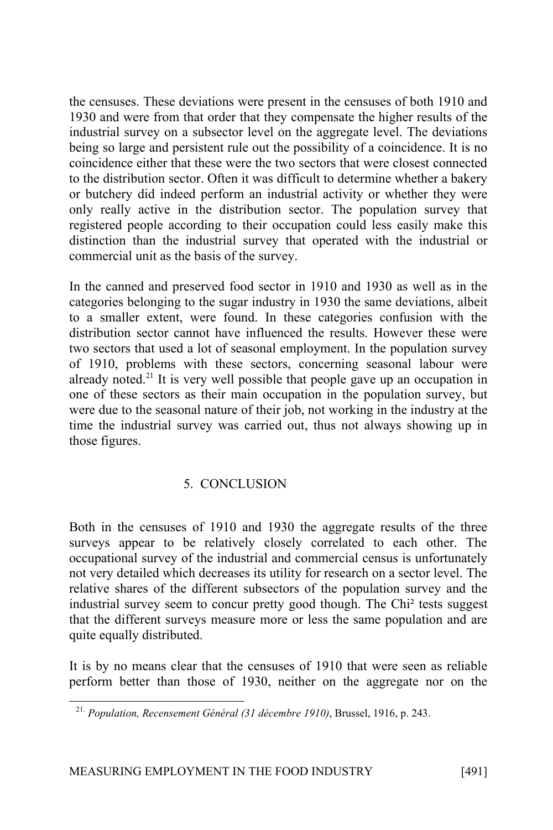the censuses. These deviations were present in the censuses of both 1910 and 1930 and were from that order that they compensate the higher results of the industrial survey on a subsector level on the aggregate level. The deviations being so large and persistent rule out the possibility of a coincidence. It is no coincidence either that these were the two sectors that were closest connected to the distribution sector. Often it was difficult to determine whether a bakery or butchery did indeed perform an industrial activity or whether they were only really active in the distribution sector. The population survey that registered people according to their occupation could less easily make this distinction than the industrial survey that operated with the industrial or commercial unit as the basis of the survey.

In the canned and preserved food sector in 1910 and 1930 as well as in the categories belonging to the sugar industry in 1930 the same deviations, albeit to a smaller extent, were found. In these categories confusion with the distribution sector cannot have influenced the results. However these were two sectors that used a lot of seasonal employment. In the population survey of 1910, problems with these sectors, concerning seasonal labour were already noted.<sup>21</sup> It is very well possible that people gave up an occupation in one of these sectors as their main occupation in the population survey, but were due to the seasonal nature of their job, not working in the industry at the time the industrial survey was carried out, thus not always showing up in those figures.

# 5. CONCLUSION

Both in the censuses of 1910 and 1930 the aggregate results of the three surveys appear to be relatively closely correlated to each other. The occupational survey of the industrial and commercial census is unfortunately not very detailed which decreases its utility for research on a sector level. The relative shares of the different subsectors of the population survey and the industrial survey seem to concur pretty good though. The Chi² tests suggest that the different surveys measure more or less the same population and are quite equally distributed.

It is by no means clear that the censuses of 1910 that were seen as reliable perform better than those of 1930, neither on the aggregate nor on the

<sup>21.</sup> *Population, Recensement Général (31 décembre 1910)*, Brussel, 1916, p. 243.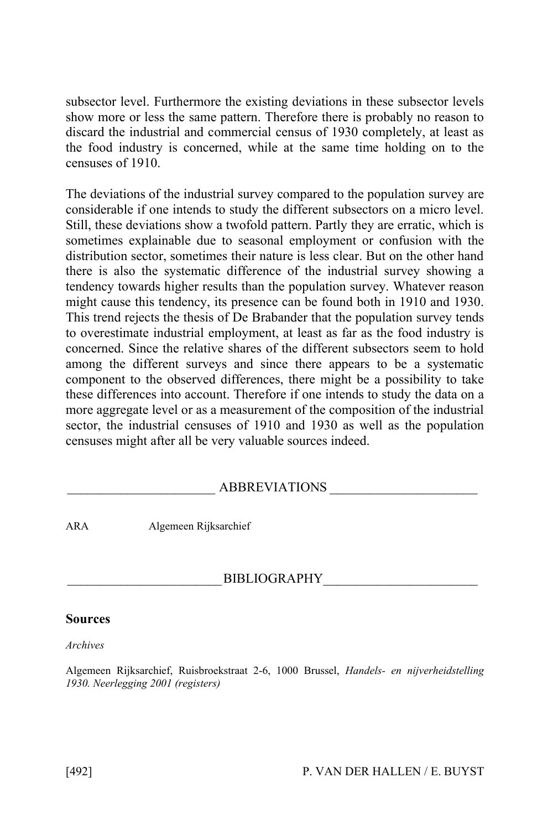subsector level. Furthermore the existing deviations in these subsector levels show more or less the same pattern. Therefore there is probably no reason to discard the industrial and commercial census of 1930 completely, at least as the food industry is concerned, while at the same time holding on to the censuses of 1910.

The deviations of the industrial survey compared to the population survey are considerable if one intends to study the different subsectors on a micro level. Still, these deviations show a twofold pattern. Partly they are erratic, which is sometimes explainable due to seasonal employment or confusion with the distribution sector, sometimes their nature is less clear. But on the other hand there is also the systematic difference of the industrial survey showing a tendency towards higher results than the population survey. Whatever reason might cause this tendency, its presence can be found both in 1910 and 1930. This trend rejects the thesis of De Brabander that the population survey tends to overestimate industrial employment, at least as far as the food industry is concerned. Since the relative shares of the different subsectors seem to hold among the different surveys and since there appears to be a systematic component to the observed differences, there might be a possibility to take these differences into account. Therefore if one intends to study the data on a more aggregate level or as a measurement of the composition of the industrial sector, the industrial censuses of 1910 and 1930 as well as the population censuses might after all be very valuable sources indeed.

### ABBREVIATIONS

ARA Algemeen Rijksarchief

### BIBLIOGRAPHY

#### **Sources**

*Archives*

Algemeen Rijksarchief, Ruisbroekstraat 2-6, 1000 Brussel, *Handels- en nijverheidstelling 1930. Neerlegging 2001 (registers)*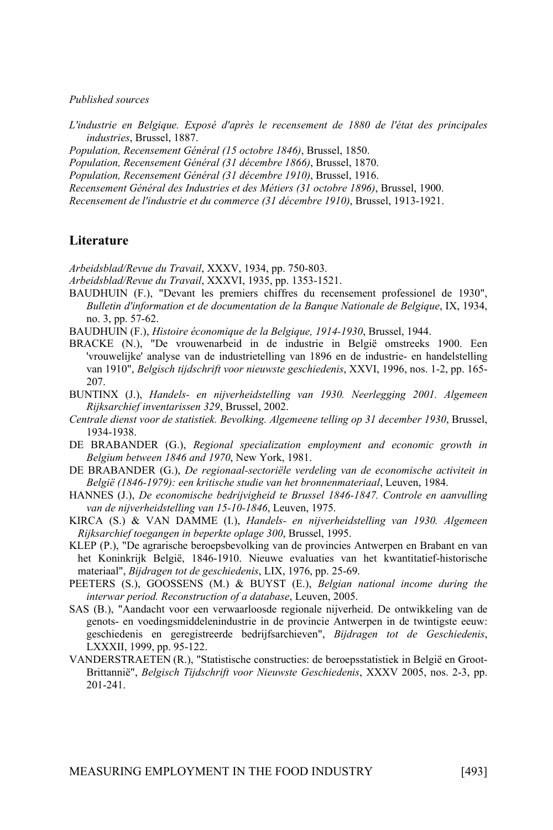#### *Published sources*

*L'industrie en Belgique. Exposé d'après le recensement de 1880 de l'état des principales industries*, Brussel, 1887.

*Population, Recensement Général (15 octobre 1846)*, Brussel, 1850.

*Population, Recensement Général (31 décembre 1866)*, Brussel, 1870.

*Population, Recensement Général (31 décembre 1910)*, Brussel, 1916.

*Recensement Général des Industries et des Métiers (31 octobre 1896)*, Brussel, 1900.

*Recensement de l'industrie et du commerce (31 décembre 1910)*, Brussel, 1913-1921.

#### **Literature**

*Arbeidsblad/Revue du Travail*, XXXV, 1934, pp. 750-803.

*Arbeidsblad/Revue du Travail*, XXXVI, 1935, pp. 1353-1521.

- BAUDHUIN (F.), "Devant les premiers chiffres du recensement professionel de 1930", *Bulletin d'information et de documentation de la Banque Nationale de Belgique*, IX, 1934, no. 3, pp. 57-62.
- BAUDHUIN (F.), *Histoire économique de la Belgique, 1914-1930*, Brussel, 1944.
- BRACKE (N.), "De vrouwenarbeid in de industrie in België omstreeks 1900. Een 'vrouwelijke' analyse van de industrietelling van 1896 en de industrie- en handelstelling van 1910", *Belgisch tijdschrift voor nieuwste geschiedenis*, XXVI, 1996, nos. 1-2, pp. 165- 207.
- BUNTINX (J.), *Handels- en nijverheidstelling van 1930. Neerlegging 2001. Algemeen Rijksarchief inventarissen 329*, Brussel, 2002.
- *Centrale dienst voor de statistiek. Bevolking. Algemeene telling op 31 december 1930*, Brussel, 1934-1938.
- DE BRABANDER (G.), *Regional specialization employment and economic growth in Belgium between 1846 and 1970*, New York, 1981.
- DE BRABANDER (G.), *De regionaal-sectoriële verdeling van de economische activiteit in België (1846-1979): een kritische studie van het bronnenmateriaal*, Leuven, 1984.
- HANNES (J.), *De economische bedrijvigheid te Brussel 1846-1847. Controle en aanvulling van de nijverheidstelling van 15-10-1846*, Leuven, 1975.
- KIRCA (S.) & VAN DAMME (I.), *Handels- en nijverheidstelling van 1930. Algemeen Rijksarchief toegangen in beperkte oplage 300*, Brussel, 1995.
- KLEP (P.), "De agrarische beroepsbevolking van de provincies Antwerpen en Brabant en van het Koninkrijk België, 1846-1910. Nieuwe evaluaties van het kwantitatief-historische materiaal", *Bijdragen tot de geschiedenis*, LIX, 1976, pp. 25-69.
- PEETERS (S.), GOOSSENS (M.) & BUYST (E.), *Belgian national income during the interwar period. Reconstruction of a database*, Leuven, 2005.
- SAS (B.), "Aandacht voor een verwaarloosde regionale nijverheid. De ontwikkeling van de genots- en voedingsmiddelenindustrie in de provincie Antwerpen in de twintigste eeuw: geschiedenis en geregistreerde bedrijfsarchieven", *Bijdragen tot de Geschiedenis*, LXXXII, 1999, pp. 95-122.
- VANDERSTRAETEN (R.), "Statistische constructies: de beroepsstatistiek in België en Groot-Brittannië", *Belgisch Tijdschrift voor Nieuwste Geschiedenis*, XXXV 2005, nos. 2-3, pp. 201-241.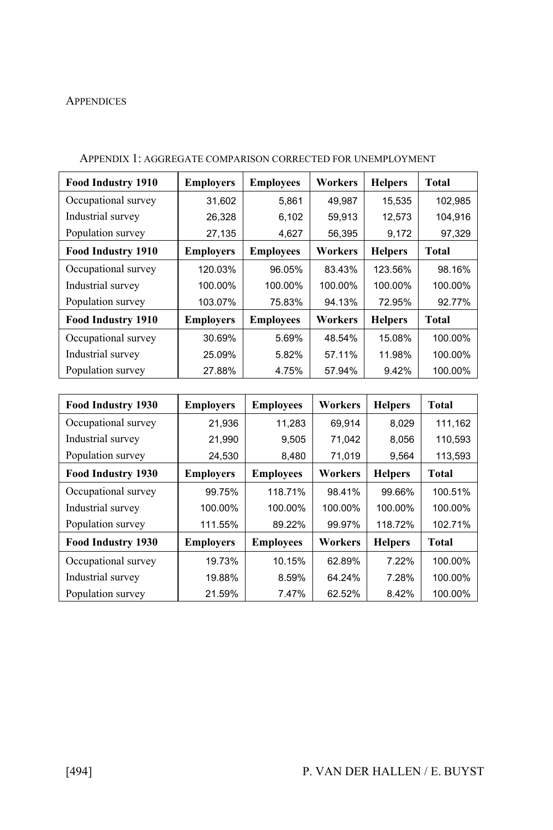#### **APPENDICES**

| <b>Food Industry 1910</b> | <b>Employers</b> | <b>Employees</b> | Workers | <b>Helpers</b> | Total        |
|---------------------------|------------------|------------------|---------|----------------|--------------|
| Occupational survey       | 31,602           | 5,861            | 49,987  | 15,535         | 102,985      |
| Industrial survey         | 26,328           | 6,102            | 59,913  | 12,573         | 104,916      |
| Population survey         | 27,135           | 4,627            | 56,395  | 9,172          | 97,329       |
| <b>Food Industry 1910</b> | <b>Employers</b> | <b>Employees</b> | Workers | <b>Helpers</b> | <b>Total</b> |
| Occupational survey       | 120.03%          | 96.05%           | 83.43%  | 123.56%        | 98.16%       |
| Industrial survey         | 100.00%          | 100.00%          | 100.00% | 100.00%        | 100.00%      |
| Population survey         | 103.07%          | 75.83%           | 94.13%  | 72.95%         | 92.77%       |
| <b>Food Industry 1910</b> | <b>Employers</b> | <b>Employees</b> | Workers | <b>Helpers</b> | <b>Total</b> |
| Occupational survey       | 30.69%           | 5.69%            | 48.54%  | 15.08%         | 100.00%      |
| Industrial survey         | 25.09%           | 5.82%            | 57.11%  | 11.98%         | 100.00%      |
| Population survey         | 27.88%           | 4.75%            | 57.94%  | 9.42%          | 100.00%      |

#### APPENDIX 1: AGGREGATE COMPARISON CORRECTED FOR UNEMPLOYMENT

| Food Industry 1930  | <b>Employers</b> | <b>Employees</b> | Workers | <b>Helpers</b> | <b>Total</b> |
|---------------------|------------------|------------------|---------|----------------|--------------|
| Occupational survey | 21,936           | 11,283           | 69,914  | 8,029          | 111,162      |
| Industrial survey   | 21,990           | 9,505            | 71.042  | 8,056          | 110,593      |
| Population survey   | 24,530           | 8,480            | 71,019  | 9,564          | 113,593      |
| Food Industry 1930  | <b>Employers</b> | <b>Employees</b> | Workers | <b>Helpers</b> | Total        |
| Occupational survey | 99.75%           | 118.71%          | 98.41%  | 99.66%         | 100.51%      |
| Industrial survey   | 100.00%          | 100.00%          | 100.00% | 100.00%        | 100.00%      |
| Population survey   | 111.55%          | 89.22%           | 99.97%  | 118.72%        | 102.71%      |
| Food Industry 1930  | <b>Employers</b> | <b>Employees</b> | Workers | <b>Helpers</b> | Total        |
| Occupational survey | 19.73%           | 10.15%           | 62.89%  | 7.22%          | 100.00%      |
| Industrial survey   | 19.88%           | 8.59%            | 64.24%  | 7.28%          | 100.00%      |
| Population survey   | 21.59%           | 7.47%            | 62.52%  | 8.42%          | 100.00%      |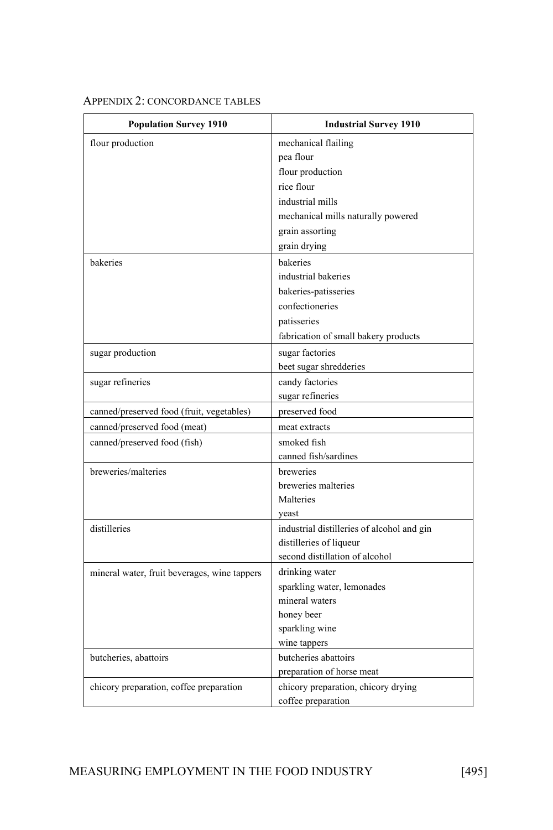### APPENDIX 2: CONCORDANCE TABLES

| <b>Population Survey 1910</b>                | <b>Industrial Survey 1910</b>              |
|----------------------------------------------|--------------------------------------------|
| flour production                             | mechanical flailing                        |
|                                              | pea flour                                  |
|                                              | flour production                           |
|                                              | rice flour                                 |
|                                              | industrial mills                           |
|                                              | mechanical mills naturally powered         |
|                                              | grain assorting                            |
|                                              | grain drying                               |
| bakeries                                     | bakeries                                   |
|                                              | industrial bakeries                        |
|                                              | bakeries-patisseries                       |
|                                              | confectioneries                            |
|                                              | patisseries                                |
|                                              | fabrication of small bakery products       |
| sugar production                             | sugar factories                            |
|                                              | beet sugar shredderies                     |
| sugar refineries                             | candy factories                            |
|                                              | sugar refineries                           |
| canned/preserved food (fruit, vegetables)    | preserved food                             |
| canned/preserved food (meat)                 | meat extracts                              |
| canned/preserved food (fish)                 | smoked fish                                |
|                                              | canned fish/sardines                       |
| breweries/malteries                          | breweries                                  |
|                                              | breweries malteries                        |
|                                              | Malteries                                  |
|                                              | veast                                      |
| distilleries                                 | industrial distilleries of alcohol and gin |
|                                              | distilleries of liqueur                    |
|                                              | second distillation of alcohol             |
| mineral water, fruit beverages, wine tappers | drinking water                             |
|                                              | sparkling water, lemonades                 |
|                                              | mineral waters                             |
|                                              | honey beer                                 |
|                                              | sparkling wine                             |
|                                              | wine tappers                               |
| butcheries, abattoirs                        | butcheries abattoirs                       |
|                                              | preparation of horse meat                  |
| chicory preparation, coffee preparation      | chicory preparation, chicory drying        |
|                                              | coffee preparation                         |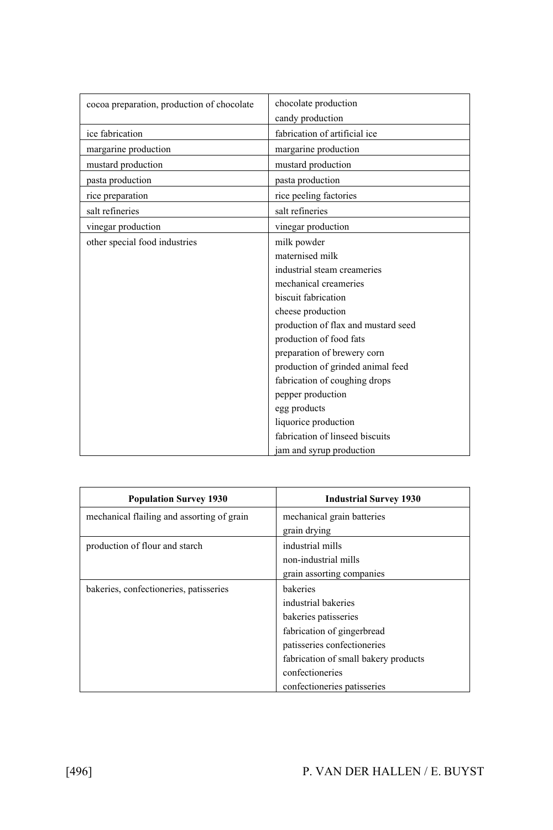| cocoa preparation, production of chocolate | chocolate production                |
|--------------------------------------------|-------------------------------------|
|                                            | candy production                    |
| ice fabrication                            | fabrication of artificial ice       |
| margarine production                       | margarine production                |
| mustard production                         | mustard production                  |
| pasta production                           | pasta production                    |
| rice preparation                           | rice peeling factories              |
| salt refineries                            | salt refineries                     |
| vinegar production                         | vinegar production                  |
| other special food industries              | milk powder                         |
|                                            | maternised milk                     |
|                                            | industrial steam creameries         |
|                                            | mechanical creameries               |
|                                            | biscuit fabrication                 |
|                                            | cheese production                   |
|                                            | production of flax and mustard seed |
|                                            | production of food fats             |
|                                            | preparation of brewery corn         |
|                                            | production of grinded animal feed   |
|                                            | fabrication of coughing drops       |
|                                            | pepper production                   |
|                                            | egg products                        |
|                                            | liquorice production                |
|                                            | fabrication of linseed biscuits     |
|                                            | jam and syrup production            |

| <b>Population Survey 1930</b>              | <b>Industrial Survey 1930</b>        |
|--------------------------------------------|--------------------------------------|
| mechanical flailing and assorting of grain | mechanical grain batteries           |
|                                            | grain drying                         |
| production of flour and starch             | industrial mills                     |
|                                            | non-industrial mills                 |
|                                            | grain assorting companies            |
| bakeries, confectioneries, patisseries     | bakeries                             |
|                                            | industrial bakeries                  |
|                                            | bakeries patisseries                 |
|                                            | fabrication of gingerbread           |
|                                            | patisseries confectioneries          |
|                                            | fabrication of small bakery products |
|                                            | confectioneries                      |
|                                            | confectioneries patisseries          |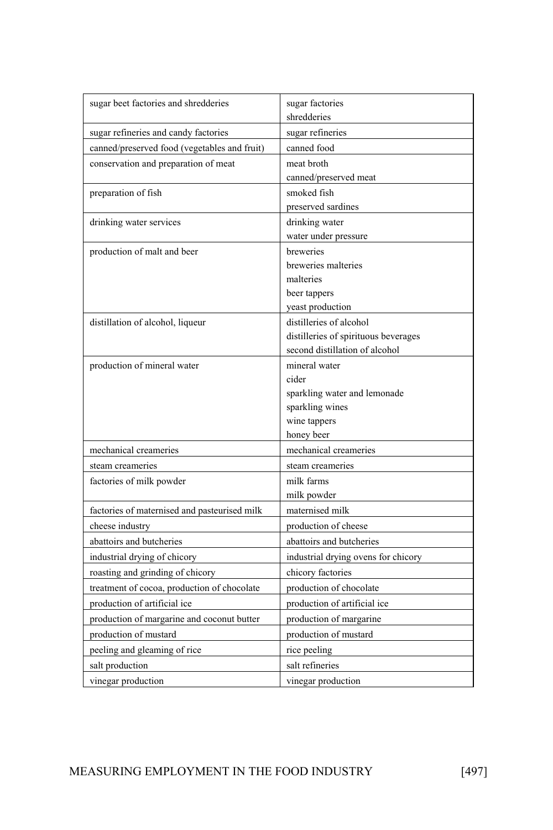| sugar beet factories and shredderies         | sugar factories<br>shredderies       |
|----------------------------------------------|--------------------------------------|
|                                              |                                      |
| sugar refineries and candy factories         | sugar refineries                     |
| canned/preserved food (vegetables and fruit) | canned food                          |
| conservation and preparation of meat         | meat broth                           |
|                                              | canned/preserved meat                |
| preparation of fish                          | smoked fish                          |
|                                              | preserved sardines                   |
| drinking water services                      | drinking water                       |
|                                              | water under pressure<br>breweries    |
| production of malt and beer                  | breweries malteries                  |
|                                              | malteries                            |
|                                              | beer tappers                         |
|                                              | yeast production                     |
| distillation of alcohol, liqueur             | distilleries of alcohol              |
|                                              | distilleries of spirituous beverages |
|                                              | second distillation of alcohol       |
| production of mineral water                  | mineral water                        |
|                                              | cider                                |
|                                              | sparkling water and lemonade         |
|                                              | sparkling wines                      |
|                                              | wine tappers                         |
|                                              | honey beer                           |
| mechanical creameries                        | mechanical creameries                |
| steam creameries                             | steam creameries                     |
| factories of milk powder                     | milk farms                           |
|                                              | milk powder                          |
| factories of maternised and pasteurised milk | maternised milk                      |
| cheese industry                              | production of cheese                 |
| abattoirs and butcheries                     | abattoirs and butcheries             |
| industrial drying of chicory                 | industrial drying ovens for chicory  |
| roasting and grinding of chicory             | chicory factories                    |
| treatment of cocoa, production of chocolate  | production of chocolate              |
| production of artificial ice                 | production of artificial ice         |
| production of margarine and coconut butter   | production of margarine              |
| production of mustard                        | production of mustard                |
| peeling and gleaming of rice                 | rice peeling                         |
| salt production                              | salt refineries                      |
| vinegar production                           | vinegar production                   |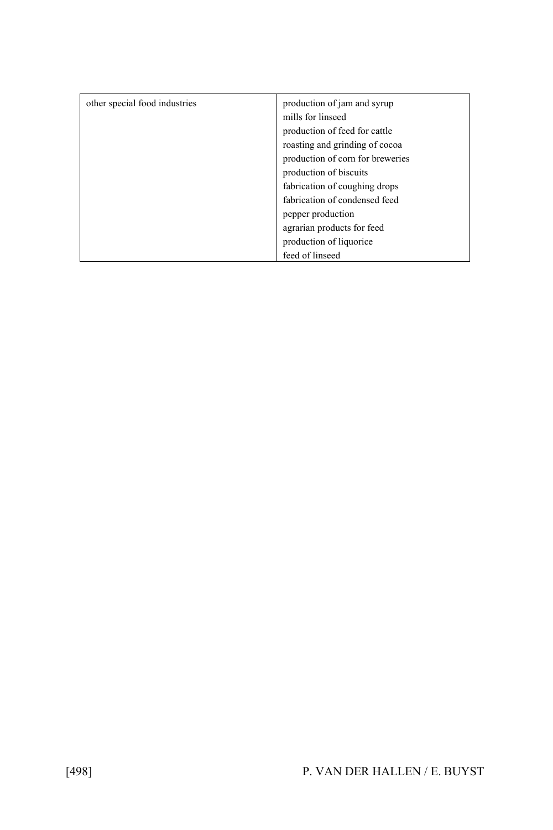| other special food industries | production of jam and syrup<br>mills for linseed |
|-------------------------------|--------------------------------------------------|
|                               | production of feed for cattle                    |
|                               | roasting and grinding of cocoa                   |
|                               | production of corn for breweries                 |
|                               | production of biscuits                           |
|                               | fabrication of coughing drops                    |
|                               | fabrication of condensed feed                    |
|                               | pepper production                                |
|                               | agrarian products for feed                       |
|                               | production of liquorice                          |
|                               | feed of linseed                                  |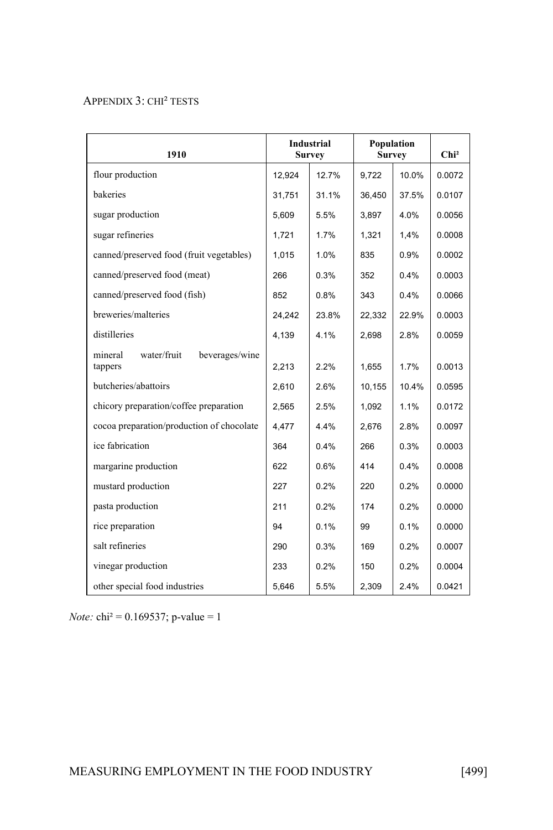#### APPENDIX 3: CHI² TESTS

| 1910                                                | <b>Industrial</b><br><b>Survey</b> |       | Population<br><b>Survey</b> |       | Chi <sup>2</sup> |
|-----------------------------------------------------|------------------------------------|-------|-----------------------------|-------|------------------|
| flour production                                    | 12,924                             | 12.7% | 9,722                       | 10.0% | 0.0072           |
| bakeries                                            | 31,751                             | 31.1% | 36,450                      | 37.5% | 0.0107           |
| sugar production                                    | 5,609                              | 5.5%  | 3,897                       | 4.0%  | 0.0056           |
| sugar refineries                                    | 1,721                              | 1.7%  | 1,321                       | 1,4%  | 0.0008           |
| canned/preserved food (fruit vegetables)            | 1.015                              | 1.0%  | 835                         | 0.9%  | 0.0002           |
| canned/preserved food (meat)                        | 266                                | 0.3%  | 352                         | 0.4%  | 0.0003           |
| canned/preserved food (fish)                        | 852                                | 0.8%  | 343                         | 0.4%  | 0.0066           |
| breweries/malteries                                 | 24,242                             | 23.8% | 22,332                      | 22.9% | 0.0003           |
| distilleries                                        | 4,139                              | 4.1%  | 2,698                       | 2.8%  | 0.0059           |
| water/fruit<br>mineral<br>beverages/wine<br>tappers | 2,213                              | 2.2%  | 1,655                       | 1.7%  | 0.0013           |
| butcheries/abattoirs                                | 2,610                              | 2.6%  | 10,155                      | 10.4% | 0.0595           |
| chicory preparation/coffee preparation              | 2,565                              | 2.5%  | 1,092                       | 1.1%  | 0.0172           |
| cocoa preparation/production of chocolate           | 4,477                              | 4.4%  | 2,676                       | 2.8%  | 0.0097           |
| ice fabrication                                     | 364                                | 0.4%  | 266                         | 0.3%  | 0.0003           |
| margarine production                                | 622                                | 0.6%  | 414                         | 0.4%  | 0.0008           |
| mustard production                                  | 227                                | 0.2%  | 220                         | 0.2%  | 0.0000           |
| pasta production                                    | 211                                | 0.2%  | 174                         | 0.2%  | 0.0000           |
| rice preparation                                    | 94                                 | 0.1%  | 99                          | 0.1%  | 0.0000           |
| salt refineries                                     | 290                                | 0.3%  | 169                         | 0.2%  | 0.0007           |
| vinegar production                                  | 233                                | 0.2%  | 150                         | 0.2%  | 0.0004           |
| other special food industries                       | 5,646                              | 5.5%  | 2,309                       | 2.4%  | 0.0421           |

*Note:* chi² = 0.169537; p-value = 1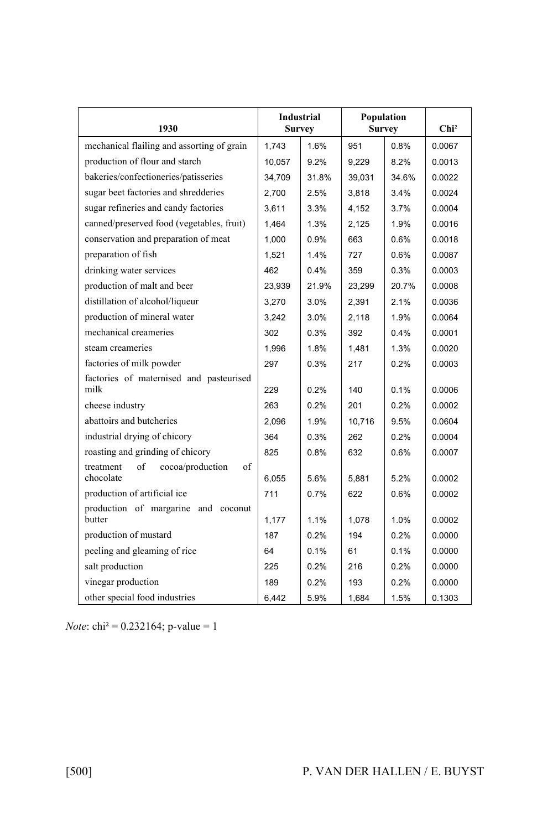| 1930                                                   | Industrial<br><b>Survey</b> |       | Population<br><b>Survey</b> |       | Chi <sup>2</sup> |
|--------------------------------------------------------|-----------------------------|-------|-----------------------------|-------|------------------|
| mechanical flailing and assorting of grain             | 1,743                       | 1.6%  | 951                         | 0.8%  | 0.0067           |
| production of flour and starch                         | 10,057                      | 9.2%  | 9,229                       | 8.2%  | 0.0013           |
| bakeries/confectioneries/patisseries                   | 34,709                      | 31.8% | 39,031                      | 34.6% | 0.0022           |
| sugar beet factories and shredderies                   | 2,700                       | 2.5%  | 3,818                       | 3.4%  | 0.0024           |
| sugar refineries and candy factories                   | 3,611                       | 3.3%  | 4,152                       | 3.7%  | 0.0004           |
| canned/preserved food (vegetables, fruit)              | 1.464                       | 1.3%  | 2,125                       | 1.9%  | 0.0016           |
| conservation and preparation of meat                   | 1,000                       | 0.9%  | 663                         | 0.6%  | 0.0018           |
| preparation of fish                                    | 1,521                       | 1.4%  | 727                         | 0.6%  | 0.0087           |
| drinking water services                                | 462                         | 0.4%  | 359                         | 0.3%  | 0.0003           |
| production of malt and beer                            | 23,939                      | 21.9% | 23,299                      | 20.7% | 0.0008           |
| distillation of alcohol/liqueur                        | 3,270                       | 3.0%  | 2,391                       | 2.1%  | 0.0036           |
| production of mineral water                            | 3,242                       | 3.0%  | 2,118                       | 1.9%  | 0.0064           |
| mechanical creameries                                  | 302                         | 0.3%  | 392                         | 0.4%  | 0.0001           |
| steam creameries                                       | 1,996                       | 1.8%  | 1,481                       | 1.3%  | 0.0020           |
| factories of milk powder                               | 297                         | 0.3%  | 217                         | 0.2%  | 0.0003           |
| factories of maternised and pasteurised                |                             |       |                             |       |                  |
| milk                                                   | 229                         | 0.2%  | 140                         | 0.1%  | 0.0006           |
| cheese industry                                        | 263                         | 0.2%  | 201                         | 0.2%  | 0.0002           |
| abattoirs and butcheries                               | 2,096                       | 1.9%  | 10,716                      | 9.5%  | 0.0604           |
| industrial drying of chicory                           | 364                         | 0.3%  | 262                         | 0.2%  | 0.0004           |
| roasting and grinding of chicory                       | 825                         | 0.8%  | 632                         | 0.6%  | 0.0007           |
| treatment<br>of<br>cocoa/production<br>of<br>chocolate | 6,055                       | 5.6%  | 5,881                       | 5.2%  | 0.0002           |
| production of artificial ice                           | 711                         | 0.7%  | 622                         | 0.6%  | 0.0002           |
| production of margarine and coconut<br>butter          | 1,177                       | 1.1%  | 1,078                       | 1.0%  | 0.0002           |
| production of mustard                                  | 187                         | 0.2%  | 194                         | 0.2%  | 0.0000           |
| peeling and gleaming of rice                           | 64                          | 0.1%  | 61                          | 0.1%  | 0.0000           |
| salt production                                        | 225                         | 0.2%  | 216                         | 0.2%  | 0.0000           |
| vinegar production                                     | 189                         | 0.2%  | 193                         | 0.2%  | 0.0000           |
| other special food industries                          | 6.442                       | 5.9%  | 1,684                       | 1.5%  | 0.1303           |

*Note*: chi<sup>2</sup> = 0.232164; p-value = 1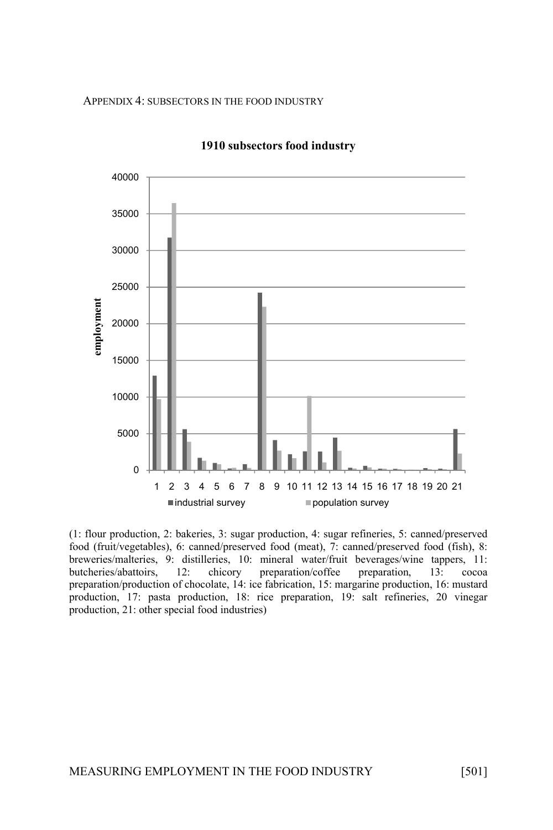APPENDIX 4: SUBSECTORS IN THE FOOD INDUSTRY



#### **1910 subsectors food industry**

(1: flour production, 2: bakeries, 3: sugar production, 4: sugar refineries, 5: canned/preserved food (fruit/vegetables), 6: canned/preserved food (meat), 7: canned/preserved food (fish), 8: breweries/malteries, 9: distilleries, 10: mineral water/fruit beverages/wine tappers, 11: 12: chicory preparation/coffee preparation,  $13: \text{ccosa}$ preparation/production of chocolate, 14: ice fabrication, 15: margarine production, 16: mustard production, 17: pasta production, 18: rice preparation, 19: salt refineries, 20 vinegar production, 21: other special food industries)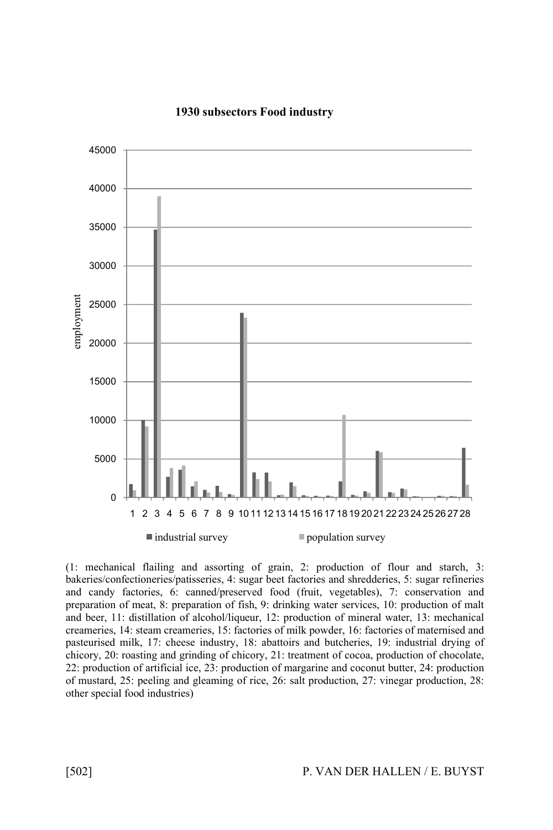

#### **1930 subsectors Food industry**

(1: mechanical flailing and assorting of grain, 2: production of flour and starch, 3: bakeries/confectioneries/patisseries, 4: sugar beet factories and shredderies, 5: sugar refineries and candy factories, 6: canned/preserved food (fruit, vegetables), 7: conservation and preparation of meat, 8: preparation of fish, 9: drinking water services, 10: production of malt and beer, 11: distillation of alcohol/liqueur, 12: production of mineral water, 13: mechanical creameries, 14: steam creameries, 15: factories of milk powder, 16: factories of maternised and pasteurised milk, 17: cheese industry, 18: abattoirs and butcheries, 19: industrial drying of chicory, 20: roasting and grinding of chicory, 21: treatment of cocoa, production of chocolate, 22: production of artificial ice, 23: production of margarine and coconut butter, 24: production of mustard, 25: peeling and gleaming of rice, 26: salt production, 27: vinegar production, 28: other special food industries)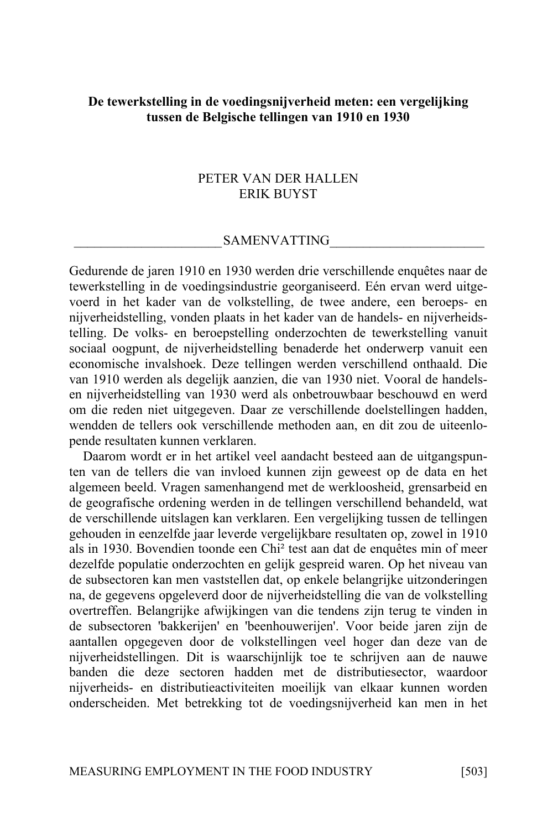# **De tewerkstelling in de voedingsnijverheid meten: een vergelijking tussen de Belgische tellingen van 1910 en 1930**

### PETER VAN DER HALLEN ERIK BUYST

#### SAMENVATTING

Gedurende de jaren 1910 en 1930 werden drie verschillende enquêtes naar de tewerkstelling in de voedingsindustrie georganiseerd. Eén ervan werd uitgevoerd in het kader van de volkstelling, de twee andere, een beroeps- en nijverheidstelling, vonden plaats in het kader van de handels- en nijverheidstelling. De volks- en beroepstelling onderzochten de tewerkstelling vanuit sociaal oogpunt, de nijverheidstelling benaderde het onderwerp vanuit een economische invalshoek. Deze tellingen werden verschillend onthaald. Die van 1910 werden als degelijk aanzien, die van 1930 niet. Vooral de handelsen nijverheidstelling van 1930 werd als onbetrouwbaar beschouwd en werd om die reden niet uitgegeven. Daar ze verschillende doelstellingen hadden, wendden de tellers ook verschillende methoden aan, en dit zou de uiteenlopende resultaten kunnen verklaren.

Daarom wordt er in het artikel veel aandacht besteed aan de uitgangspunten van de tellers die van invloed kunnen zijn geweest op de data en het algemeen beeld. Vragen samenhangend met de werkloosheid, grensarbeid en de geografische ordening werden in de tellingen verschillend behandeld, wat de verschillende uitslagen kan verklaren. Een vergelijking tussen de tellingen gehouden in eenzelfde jaar leverde vergelijkbare resultaten op, zowel in 1910 als in 1930. Bovendien toonde een Chi² test aan dat de enquêtes min of meer dezelfde populatie onderzochten en gelijk gespreid waren. Op het niveau van de subsectoren kan men vaststellen dat, op enkele belangrijke uitzonderingen na, de gegevens opgeleverd door de nijverheidstelling die van de volkstelling overtreffen. Belangrijke afwijkingen van die tendens zijn terug te vinden in de subsectoren 'bakkerijen' en 'beenhouwerijen'. Voor beide jaren zijn de aantallen opgegeven door de volkstellingen veel hoger dan deze van de nijverheidstellingen. Dit is waarschijnlijk toe te schrijven aan de nauwe banden die deze sectoren hadden met de distributiesector, waardoor nijverheids- en distributieactiviteiten moeilijk van elkaar kunnen worden onderscheiden. Met betrekking tot de voedingsnijverheid kan men in het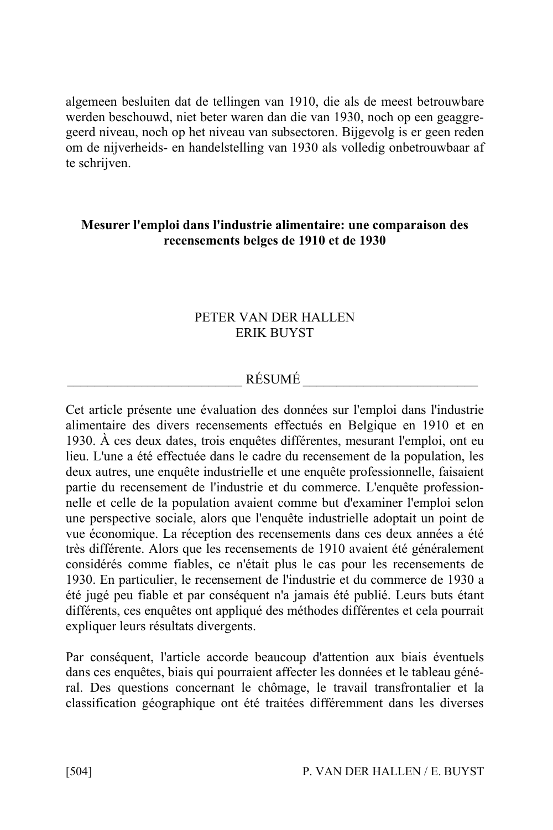algemeen besluiten dat de tellingen van 1910, die als de meest betrouwbare werden beschouwd, niet beter waren dan die van 1930, noch op een geaggregeerd niveau, noch op het niveau van subsectoren. Bijgevolg is er geen reden om de nijverheids- en handelstelling van 1930 als volledig onbetrouwbaar af te schrijven.

# **Mesurer l'emploi dans l'industrie alimentaire: une comparaison des recensements belges de 1910 et de 1930**

# PETER VAN DER HALLEN ERIK BUYST

# RÉSUMÉ  $\overline{\phantom{a}1}$

Cet article présente une évaluation des données sur l'emploi dans l'industrie alimentaire des divers recensements effectués en Belgique en 1910 et en 1930. À ces deux dates, trois enquêtes différentes, mesurant l'emploi, ont eu lieu. L'une a été effectuée dans le cadre du recensement de la population, les deux autres, une enquête industrielle et une enquête professionnelle, faisaient partie du recensement de l'industrie et du commerce. L'enquête professionnelle et celle de la population avaient comme but d'examiner l'emploi selon une perspective sociale, alors que l'enquête industrielle adoptait un point de vue économique. La réception des recensements dans ces deux années a été très différente. Alors que les recensements de 1910 avaient été généralement considérés comme fiables, ce n'était plus le cas pour les recensements de 1930. En particulier, le recensement de l'industrie et du commerce de 1930 a été jugé peu fiable et par conséquent n'a jamais été publié. Leurs buts étant différents, ces enquêtes ont appliqué des méthodes différentes et cela pourrait expliquer leurs résultats divergents.

Par conséquent, l'article accorde beaucoup d'attention aux biais éventuels dans ces enquêtes, biais qui pourraient affecter les données et le tableau général. Des questions concernant le chômage, le travail transfrontalier et la classification géographique ont été traitées différemment dans les diverses